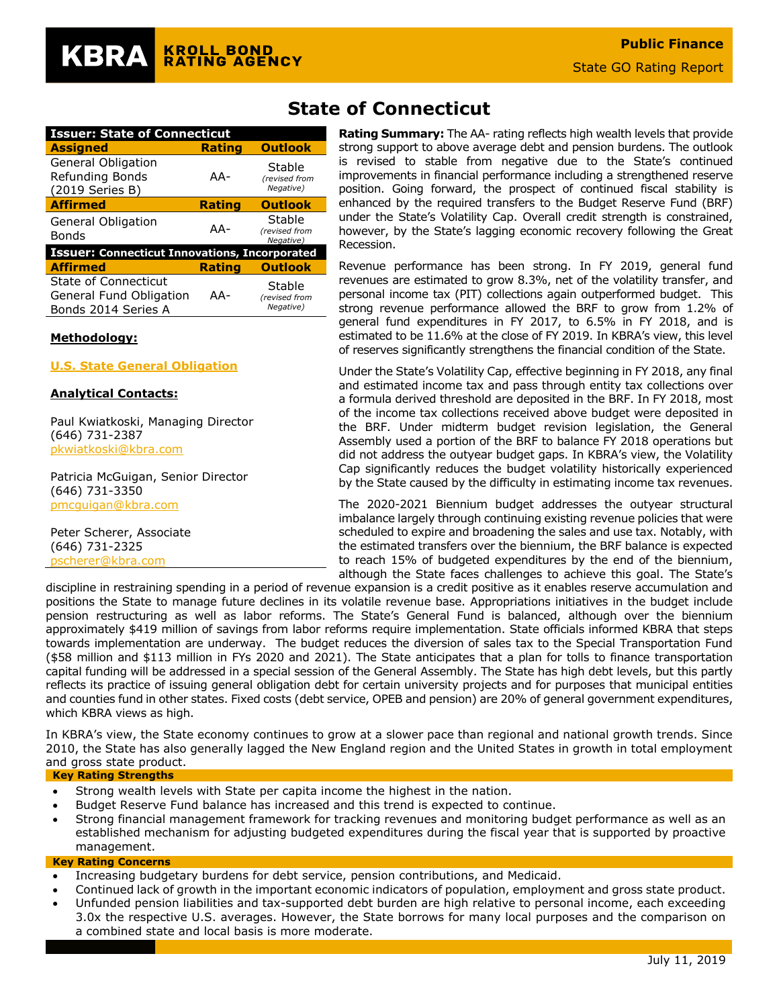| <b>Issuer: State of Connecticut</b>                                    |               |                                      |  |  |  |  |  |
|------------------------------------------------------------------------|---------------|--------------------------------------|--|--|--|--|--|
| <b>Assigned</b>                                                        | Rating        | <b>Outlook</b>                       |  |  |  |  |  |
| <b>General Obligation</b><br>Refunding Bonds<br>(2019 Series B)        | AA-           | Stable<br>(revised from<br>Negative) |  |  |  |  |  |
| <b>Affirmed</b>                                                        | <b>Rating</b> | <b>Outlook</b>                       |  |  |  |  |  |
| General Obligation<br><b>Bonds</b>                                     | AA-           | Stable<br>(revised from<br>Negative) |  |  |  |  |  |
| <b>Issuer: Connecticut Innovations, Incorporated</b>                   |               |                                      |  |  |  |  |  |
| <b>Affirmed</b>                                                        | <b>Rating</b> | <b>Outlook</b>                       |  |  |  |  |  |
| State of Connecticut<br>General Fund Obligation<br>Bonds 2014 Series A | AA-           | Stable<br>(revised from<br>Negative) |  |  |  |  |  |

#### **Methodology:**

#### **[U.S. State General Obligation](https://www.krollbondratings.com/show_report/74)**

#### **Analytical Contacts:**

Paul Kwiatkoski, Managing Director (646) 731-2387 [pkwiatkoski@kbra.com](mailto:pkwiatkoski@kbra.com)

Patricia McGuigan, Senior Director (646) 731-3350 [pmcguigan@kbra.com](mailto:pmcguigan@kbra.com)

Peter Scherer, Associate (646) 731-2325 [pscherer@kbra.com](mailto:pscherer@kbra.com)

## **State of Connecticut**

**Rating Summary:** The AA- rating reflects high wealth levels that provide strong support to above average debt and pension burdens. The outlook is revised to stable from negative due to the State's continued improvements in financial performance including a strengthened reserve position. Going forward, the prospect of continued fiscal stability is enhanced by the required transfers to the Budget Reserve Fund (BRF) under the State's Volatility Cap. Overall credit strength is constrained, however, by the State's lagging economic recovery following the Great Recession.

Revenue performance has been strong. In FY 2019, general fund revenues are estimated to grow 8.3%, net of the volatility transfer, and personal income tax (PIT) collections again outperformed budget. This strong revenue performance allowed the BRF to grow from 1.2% of general fund expenditures in FY 2017, to 6.5% in FY 2018, and is estimated to be 11.6% at the close of FY 2019. In KBRA's view, this level of reserves significantly strengthens the financial condition of the State.

Under the State's Volatility Cap, effective beginning in FY 2018, any final and estimated income tax and pass through entity tax collections over a formula derived threshold are deposited in the BRF. In FY 2018, most of the income tax collections received above budget were deposited in the BRF. Under midterm budget revision legislation, the General Assembly used a portion of the BRF to balance FY 2018 operations but did not address the outyear budget gaps. In KBRA's view, the Volatility Cap significantly reduces the budget volatility historically experienced by the State caused by the difficulty in estimating income tax revenues.

The 2020-2021 Biennium budget addresses the outyear structural imbalance largely through continuing existing revenue policies that were scheduled to expire and broadening the sales and use tax. Notably, with the estimated transfers over the biennium, the BRF balance is expected to reach 15% of budgeted expenditures by the end of the biennium, although the State faces challenges to achieve this goal. The State's

discipline in restraining spending in a period of revenue expansion is a credit positive as it enables reserve accumulation and positions the State to manage future declines in its volatile revenue base. Appropriations initiatives in the budget include pension restructuring as well as labor reforms. The State's General Fund is balanced, although over the biennium approximately \$419 million of savings from labor reforms require implementation. State officials informed KBRA that steps towards implementation are underway. The budget reduces the diversion of sales tax to the Special Transportation Fund (\$58 million and \$113 million in FYs 2020 and 2021). The State anticipates that a plan for tolls to finance transportation capital funding will be addressed in a special session of the General Assembly. The State has high debt levels, but this partly reflects its practice of issuing general obligation debt for certain university projects and for purposes that municipal entities and counties fund in other states. Fixed costs (debt service, OPEB and pension) are 20% of general government expenditures, which KBRA views as high.

In KBRA's view, the State economy continues to grow at a slower pace than regional and national growth trends. Since 2010, the State has also generally lagged the New England region and the United States in growth in total employment and gross state product.

#### **Key Rating Strengths**

- Strong wealth levels with State per capita income the highest in the nation.
- Budget Reserve Fund balance has increased and this trend is expected to continue.
- Strong financial management framework for tracking revenues and monitoring budget performance as well as an established mechanism for adjusting budgeted expenditures during the fiscal year that is supported by proactive management.

#### **Key Rating Concerns**

- Increasing budgetary burdens for debt service, pension contributions, and Medicaid.
- Continued lack of growth in the important economic indicators of population, employment and gross state product.
- Unfunded pension liabilities and tax-supported debt burden are high relative to personal income, each exceeding 3.0x the respective U.S. averages. However, the State borrows for many local purposes and the comparison on a combined state and local basis is more moderate.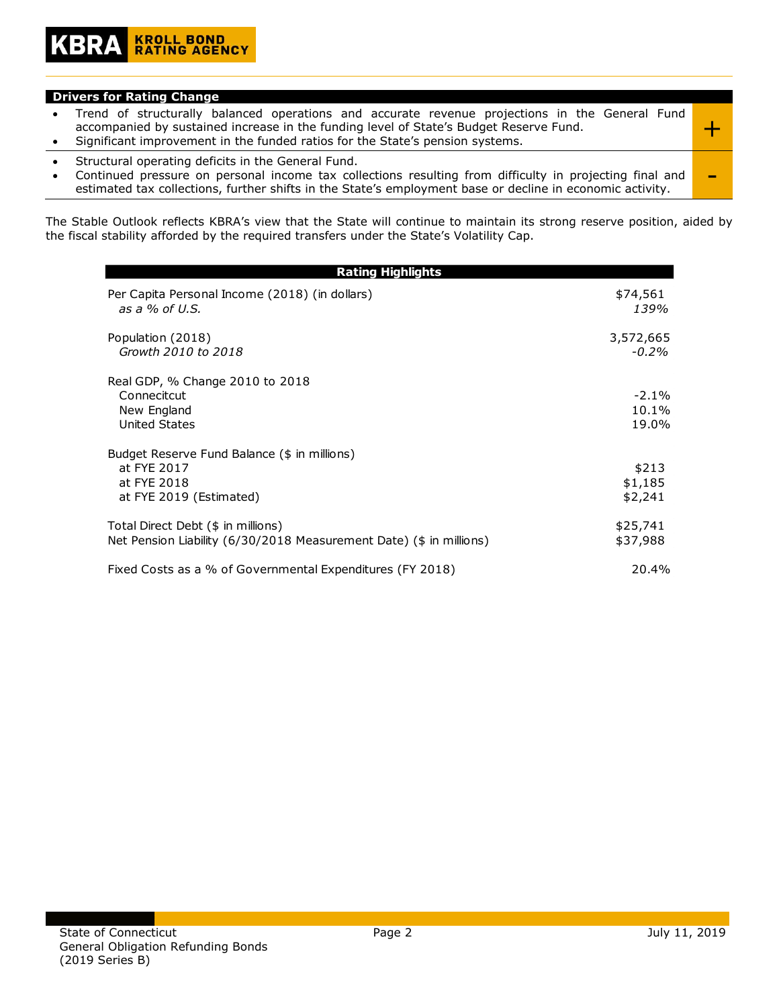#### **Drivers for Rating Change**

- Trend of structurally balanced operations and accurate revenue projections in the General Fund accompanied by sustained increase in the funding level of State's Budget Reserve Fund. • Significant improvement in the funded ratios for the State's pension systems. +
- Structural operating deficits in the General Fund.
- Continued pressure on personal income tax collections resulting from difficulty in projecting final and <br>estimated tax collections, further shifts in the State's employment base or decline in economic activity.

The Stable Outlook reflects KBRA's view that the State will continue to maintain its strong reserve position, aided by the fiscal stability afforded by the required transfers under the State's Volatility Cap.

| <b>Rating Highlights</b>                                                                                  |                             |  |  |  |  |
|-----------------------------------------------------------------------------------------------------------|-----------------------------|--|--|--|--|
| Per Capita Personal Income (2018) (in dollars)<br>as a $%$ of U.S.                                        | \$74,561<br>139%            |  |  |  |  |
| Population (2018)<br>Growth 2010 to 2018                                                                  | 3,572,665<br>$-0.2\%$       |  |  |  |  |
| Real GDP, % Change 2010 to 2018<br>Connecitcut<br>New England<br>United States                            | $-2.1\%$<br>10.1%<br>19.0%  |  |  |  |  |
| Budget Reserve Fund Balance (\$ in millions)<br>at FYE 2017<br>at FYE 2018<br>at FYE 2019 (Estimated)     | \$213<br>\$1,185<br>\$2,241 |  |  |  |  |
| Total Direct Debt (\$ in millions)<br>Net Pension Liability (6/30/2018 Measurement Date) (\$ in millions) | \$25,741<br>\$37,988        |  |  |  |  |
| Fixed Costs as a % of Governmental Expenditures (FY 2018)                                                 | 20.4%                       |  |  |  |  |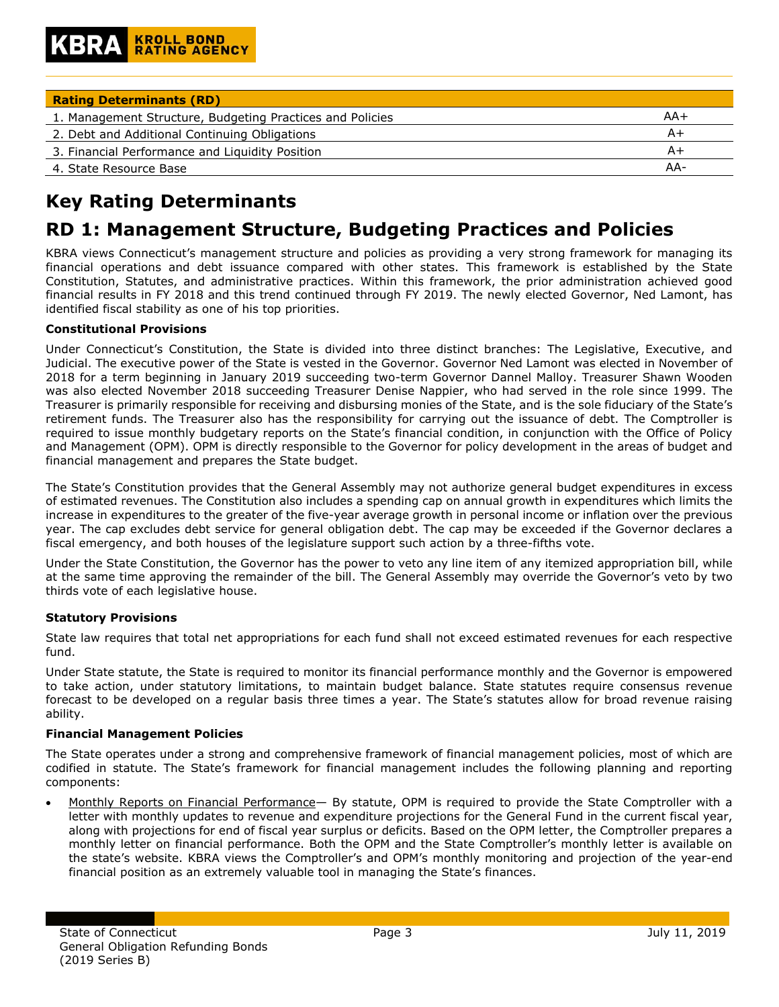| <b>Rating Determinants (RD)</b>                           |     |
|-----------------------------------------------------------|-----|
| 1. Management Structure, Budgeting Practices and Policies | AA+ |
| 2. Debt and Additional Continuing Obligations             | A+  |
| 3. Financial Performance and Liquidity Position           | A+  |
| 4. State Resource Base                                    | AA- |

# **Key Rating Determinants**

## **RD 1: Management Structure, Budgeting Practices and Policies**

KBRA views Connecticut's management structure and policies as providing a very strong framework for managing its financial operations and debt issuance compared with other states. This framework is established by the State Constitution, Statutes, and administrative practices. Within this framework, the prior administration achieved good financial results in FY 2018 and this trend continued through FY 2019. The newly elected Governor, Ned Lamont, has identified fiscal stability as one of his top priorities.

## **Constitutional Provisions**

Under Connecticut's Constitution, the State is divided into three distinct branches: The Legislative, Executive, and Judicial. The executive power of the State is vested in the Governor. Governor Ned Lamont was elected in November of 2018 for a term beginning in January 2019 succeeding two-term Governor Dannel Malloy. Treasurer Shawn Wooden was also elected November 2018 succeeding Treasurer Denise Nappier, who had served in the role since 1999. The Treasurer is primarily responsible for receiving and disbursing monies of the State, and is the sole fiduciary of the State's retirement funds. The Treasurer also has the responsibility for carrying out the issuance of debt. The Comptroller is required to issue monthly budgetary reports on the State's financial condition, in conjunction with the Office of Policy and Management (OPM). OPM is directly responsible to the Governor for policy development in the areas of budget and financial management and prepares the State budget.

The State's Constitution provides that the General Assembly may not authorize general budget expenditures in excess of estimated revenues. The Constitution also includes a spending cap on annual growth in expenditures which limits the increase in expenditures to the greater of the five-year average growth in personal income or inflation over the previous year. The cap excludes debt service for general obligation debt. The cap may be exceeded if the Governor declares a fiscal emergency, and both houses of the legislature support such action by a three-fifths vote.

Under the State Constitution, the Governor has the power to veto any line item of any itemized appropriation bill, while at the same time approving the remainder of the bill. The General Assembly may override the Governor's veto by two thirds vote of each legislative house.

#### **Statutory Provisions**

State law requires that total net appropriations for each fund shall not exceed estimated revenues for each respective fund.

Under State statute, the State is required to monitor its financial performance monthly and the Governor is empowered to take action, under statutory limitations, to maintain budget balance. State statutes require consensus revenue forecast to be developed on a regular basis three times a year. The State's statutes allow for broad revenue raising ability.

#### **Financial Management Policies**

The State operates under a strong and comprehensive framework of financial management policies, most of which are codified in statute. The State's framework for financial management includes the following planning and reporting components:

• Monthly Reports on Financial Performance— By statute, OPM is required to provide the State Comptroller with a letter with monthly updates to revenue and expenditure projections for the General Fund in the current fiscal year, along with projections for end of fiscal year surplus or deficits. Based on the OPM letter, the Comptroller prepares a monthly letter on financial performance. Both the OPM and the State Comptroller's monthly letter is available on the state's website. KBRA views the Comptroller's and OPM's monthly monitoring and projection of the year-end financial position as an extremely valuable tool in managing the State's finances.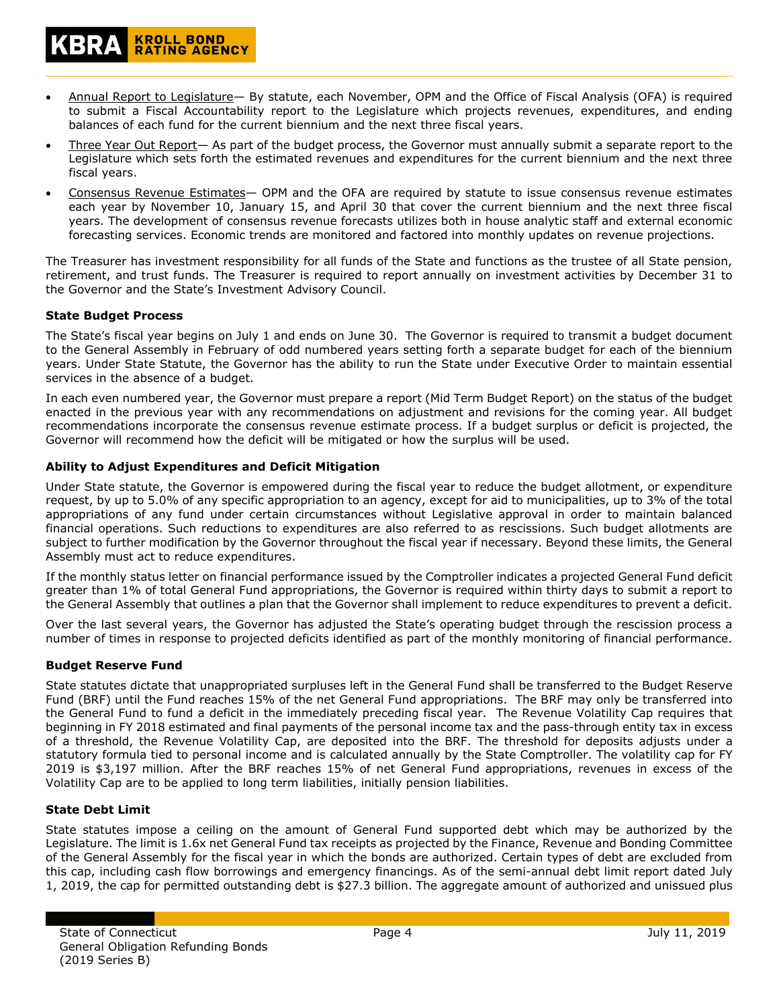- Annual Report to Legislature— By statute, each November, OPM and the Office of Fiscal Analysis (OFA) is required to submit a Fiscal Accountability report to the Legislature which projects revenues, expenditures, and ending balances of each fund for the current biennium and the next three fiscal years.
- Three Year Out Report— As part of the budget process, the Governor must annually submit a separate report to the Legislature which sets forth the estimated revenues and expenditures for the current biennium and the next three fiscal years.
- Consensus Revenue Estimates— OPM and the OFA are required by statute to issue consensus revenue estimates each year by November 10, January 15, and April 30 that cover the current biennium and the next three fiscal years. The development of consensus revenue forecasts utilizes both in house analytic staff and external economic forecasting services. Economic trends are monitored and factored into monthly updates on revenue projections.

The Treasurer has investment responsibility for all funds of the State and functions as the trustee of all State pension, retirement, and trust funds. The Treasurer is required to report annually on investment activities by December 31 to the Governor and the State's Investment Advisory Council.

#### **State Budget Process**

The State's fiscal year begins on July 1 and ends on June 30. The Governor is required to transmit a budget document to the General Assembly in February of odd numbered years setting forth a separate budget for each of the biennium years. Under State Statute, the Governor has the ability to run the State under Executive Order to maintain essential services in the absence of a budget.

In each even numbered year, the Governor must prepare a report (Mid Term Budget Report) on the status of the budget enacted in the previous year with any recommendations on adjustment and revisions for the coming year. All budget recommendations incorporate the consensus revenue estimate process. If a budget surplus or deficit is projected, the Governor will recommend how the deficit will be mitigated or how the surplus will be used.

## **Ability to Adjust Expenditures and Deficit Mitigation**

**KROLL BOND<br>RATING AGENCY** 

Under State statute, the Governor is empowered during the fiscal year to reduce the budget allotment, or expenditure request, by up to 5.0% of any specific appropriation to an agency, except for aid to municipalities, up to 3% of the total appropriations of any fund under certain circumstances without Legislative approval in order to maintain balanced financial operations. Such reductions to expenditures are also referred to as rescissions. Such budget allotments are subject to further modification by the Governor throughout the fiscal year if necessary. Beyond these limits, the General Assembly must act to reduce expenditures.

If the monthly status letter on financial performance issued by the Comptroller indicates a projected General Fund deficit greater than 1% of total General Fund appropriations, the Governor is required within thirty days to submit a report to the General Assembly that outlines a plan that the Governor shall implement to reduce expenditures to prevent a deficit.

Over the last several years, the Governor has adjusted the State's operating budget through the rescission process a number of times in response to projected deficits identified as part of the monthly monitoring of financial performance.

## **Budget Reserve Fund**

State statutes dictate that unappropriated surpluses left in the General Fund shall be transferred to the Budget Reserve Fund (BRF) until the Fund reaches 15% of the net General Fund appropriations. The BRF may only be transferred into the General Fund to fund a deficit in the immediately preceding fiscal year. The Revenue Volatility Cap requires that beginning in FY 2018 estimated and final payments of the personal income tax and the pass-through entity tax in excess of a threshold, the Revenue Volatility Cap, are deposited into the BRF. The threshold for deposits adjusts under a statutory formula tied to personal income and is calculated annually by the State Comptroller. The volatility cap for FY 2019 is \$3,197 million. After the BRF reaches 15% of net General Fund appropriations, revenues in excess of the Volatility Cap are to be applied to long term liabilities, initially pension liabilities.

#### **State Debt Limit**

State statutes impose a ceiling on the amount of General Fund supported debt which may be authorized by the Legislature. The limit is 1.6x net General Fund tax receipts as projected by the Finance, Revenue and Bonding Committee of the General Assembly for the fiscal year in which the bonds are authorized. Certain types of debt are excluded from this cap, including cash flow borrowings and emergency financings. As of the semi-annual debt limit report dated July 1, 2019, the cap for permitted outstanding debt is \$27.3 billion. The aggregate amount of authorized and unissued plus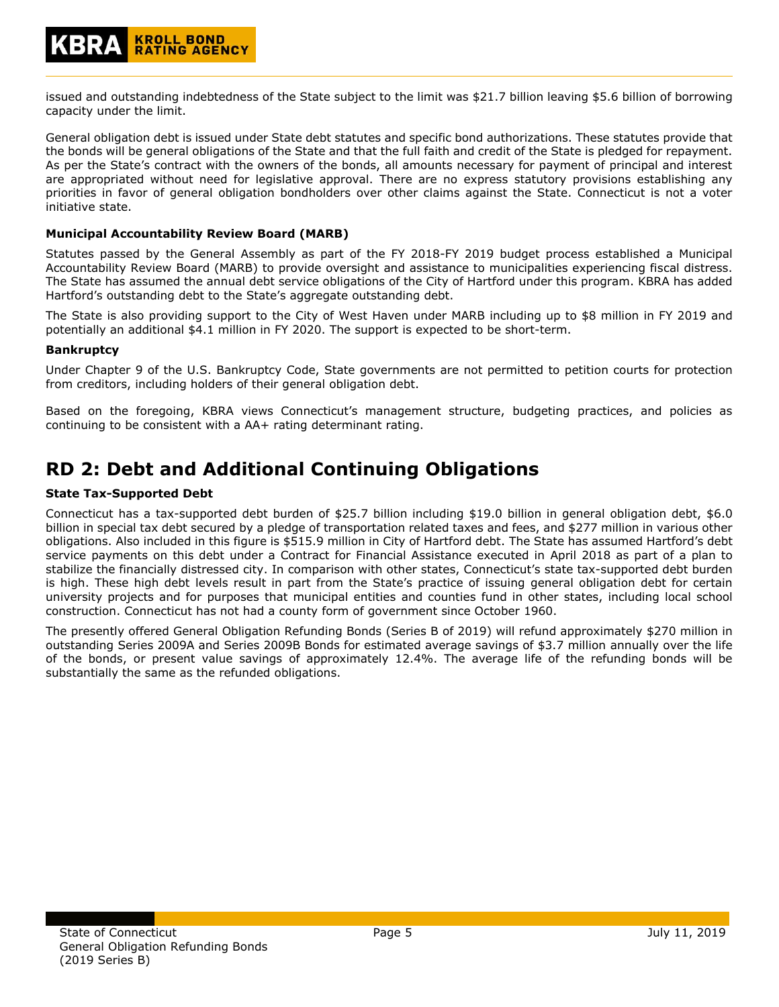issued and outstanding indebtedness of the State subject to the limit was \$21.7 billion leaving \$5.6 billion of borrowing capacity under the limit.

General obligation debt is issued under State debt statutes and specific bond authorizations. These statutes provide that the bonds will be general obligations of the State and that the full faith and credit of the State is pledged for repayment. As per the State's contract with the owners of the bonds, all amounts necessary for payment of principal and interest are appropriated without need for legislative approval. There are no express statutory provisions establishing any priorities in favor of general obligation bondholders over other claims against the State. Connecticut is not a voter initiative state.

## **Municipal Accountability Review Board (MARB)**

Statutes passed by the General Assembly as part of the FY 2018-FY 2019 budget process established a Municipal Accountability Review Board (MARB) to provide oversight and assistance to municipalities experiencing fiscal distress. The State has assumed the annual debt service obligations of the City of Hartford under this program. KBRA has added Hartford's outstanding debt to the State's aggregate outstanding debt.

The State is also providing support to the City of West Haven under MARB including up to \$8 million in FY 2019 and potentially an additional \$4.1 million in FY 2020. The support is expected to be short-term.

## **Bankruptcy**

Under Chapter 9 of the U.S. Bankruptcy Code, State governments are not permitted to petition courts for protection from creditors, including holders of their general obligation debt.

Based on the foregoing, KBRA views Connecticut's management structure, budgeting practices, and policies as continuing to be consistent with a AA+ rating determinant rating.

## **RD 2: Debt and Additional Continuing Obligations**

## **State Tax-Supported Debt**

Connecticut has a tax-supported debt burden of \$25.7 billion including \$19.0 billion in general obligation debt, \$6.0 billion in special tax debt secured by a pledge of transportation related taxes and fees, and \$277 million in various other obligations. Also included in this figure is \$515.9 million in City of Hartford debt. The State has assumed Hartford's debt service payments on this debt under a Contract for Financial Assistance executed in April 2018 as part of a plan to stabilize the financially distressed city. In comparison with other states, Connecticut's state tax-supported debt burden is high. These high debt levels result in part from the State's practice of issuing general obligation debt for certain university projects and for purposes that municipal entities and counties fund in other states, including local school construction. Connecticut has not had a county form of government since October 1960.

The presently offered General Obligation Refunding Bonds (Series B of 2019) will refund approximately \$270 million in outstanding Series 2009A and Series 2009B Bonds for estimated average savings of \$3.7 million annually over the life of the bonds, or present value savings of approximately 12.4%. The average life of the refunding bonds will be substantially the same as the refunded obligations.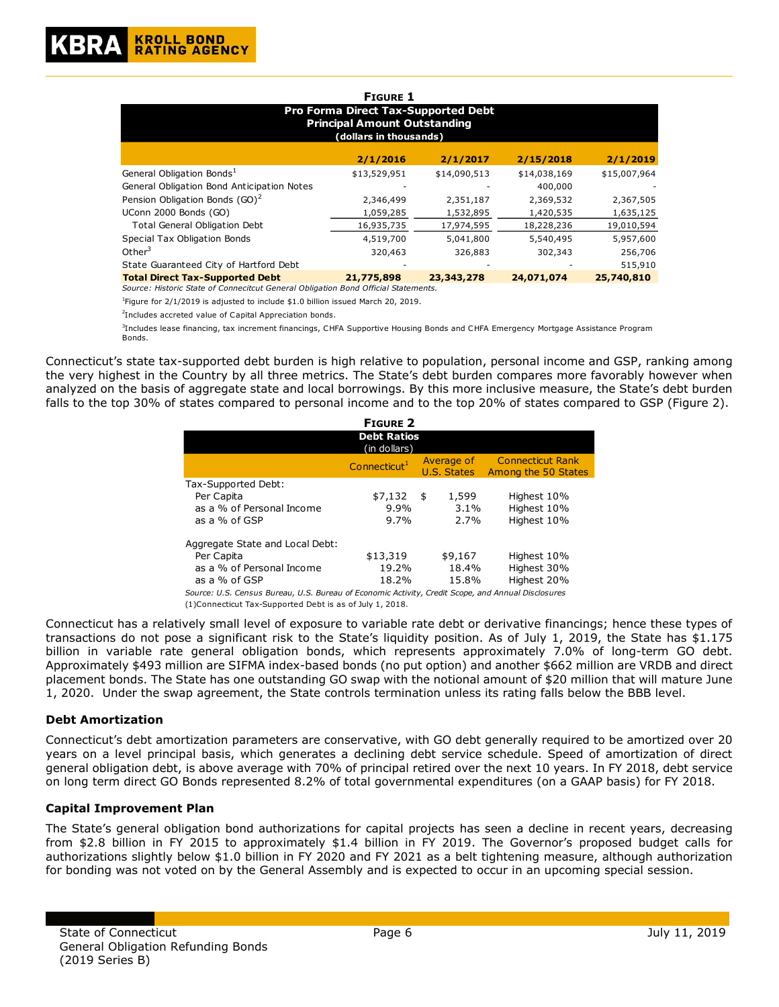|                                                                                                             | <b>FIGURE 1</b> |              |              |              |  |  |  |  |
|-------------------------------------------------------------------------------------------------------------|-----------------|--------------|--------------|--------------|--|--|--|--|
| <b>Pro Forma Direct Tax-Supported Debt</b><br><b>Principal Amount Outstanding</b><br>(dollars in thousands) |                 |              |              |              |  |  |  |  |
|                                                                                                             | 2/1/2016        | 2/1/2017     | 2/15/2018    | 2/1/2019     |  |  |  |  |
| General Obligation Bonds <sup>1</sup>                                                                       | \$13,529,951    | \$14,090,513 | \$14,038,169 | \$15,007,964 |  |  |  |  |
| General Obligation Bond Anticipation Notes                                                                  |                 |              | 400,000      |              |  |  |  |  |
| Pension Obligation Bonds (GO) <sup>2</sup>                                                                  | 2,346,499       | 2,351,187    | 2,369,532    | 2,367,505    |  |  |  |  |
| UConn 2000 Bonds (GO)                                                                                       | 1,059,285       | 1,532,895    | 1,420,535    | 1,635,125    |  |  |  |  |
| <b>Total General Obligation Debt</b>                                                                        | 16,935,735      | 17,974,595   | 18,228,236   | 19,010,594   |  |  |  |  |
| Special Tax Obligation Bonds                                                                                | 4,519,700       | 5,041,800    | 5,540,495    | 5,957,600    |  |  |  |  |
| Other <sup>3</sup>                                                                                          | 320,463         | 326,883      | 302,343      | 256,706      |  |  |  |  |
| State Guaranteed City of Hartford Debt                                                                      |                 |              |              | 515,910      |  |  |  |  |
| <b>Total Direct Tax-Supported Debt</b>                                                                      | 21,775,898      | 23,343,278   | 24,071,074   | 25,740,810   |  |  |  |  |
| Source: Historic State of Connecitcut General Obligation Bond Official Statements.                          |                 |              |              |              |  |  |  |  |

<sup>1</sup>Figure for 2/1/2019 is adjusted to include \$1.0 billion issued March 20, 2019.

<sup>2</sup>Includes accreted value of Capital Appreciation bonds.

3 Includes lease financing, tax increment financings, CHFA Supportive Housing Bonds and CHFA Emergency Mortgage Assistance Program Bonds.

Connecticut's state tax-supported debt burden is high relative to population, personal income and GSP, ranking among the very highest in the Country by all three metrics. The State's debt burden compares more favorably however when analyzed on the basis of aggregate state and local borrowings. By this more inclusive measure, the State's debt burden falls to the top 30% of states compared to personal income and to the top 20% of states compared to GSP (Figure 2).

| <b>FIGURE 2</b>                                                                                    |                            |    |                           |                                           |  |  |  |  |
|----------------------------------------------------------------------------------------------------|----------------------------|----|---------------------------|-------------------------------------------|--|--|--|--|
| <b>Debt Ratios</b><br>(in dollars)                                                                 |                            |    |                           |                                           |  |  |  |  |
|                                                                                                    | Connecticut <sup>1</sup>   |    | Average of<br>U.S. States | Connecticut Rank<br>Among the 50 States   |  |  |  |  |
| Tax-Supported Debt:<br>Per Capita<br>as a % of Personal Income<br>as a % of GSP                    | \$7,132<br>$9.9\%$<br>9.7% | \$ | 1,599<br>$3.1\%$<br>2.7%  | Highest 10%<br>Highest 10%<br>Highest 10% |  |  |  |  |
| Aggregate State and Local Debt:<br>Per Capita<br>as a % of Personal Income<br>as a % of GSP        | \$13,319<br>19.2%<br>18.2% |    | \$9,167<br>18.4%<br>15.8% | Highest 10%<br>Highest 30%<br>Highest 20% |  |  |  |  |
| Source: U.S. Census Bureau, U.S. Bureau of Economic Activity, Credit Scope, and Annual Disclosures |                            |    |                           |                                           |  |  |  |  |

(1)Connecticut Tax-Supported Debt is as of July 1, 2018.

Connecticut has a relatively small level of exposure to variable rate debt or derivative financings; hence these types of transactions do not pose a significant risk to the State's liquidity position. As of July 1, 2019, the State has \$1.175 billion in variable rate general obligation bonds, which represents approximately 7.0% of long-term GO debt. Approximately \$493 million are SIFMA index-based bonds (no put option) and another \$662 million are VRDB and direct placement bonds. The State has one outstanding GO swap with the notional amount of \$20 million that will mature June 1, 2020. Under the swap agreement, the State controls termination unless its rating falls below the BBB level.

#### **Debt Amortization**

Connecticut's debt amortization parameters are conservative, with GO debt generally required to be amortized over 20 years on a level principal basis, which generates a declining debt service schedule. Speed of amortization of direct general obligation debt, is above average with 70% of principal retired over the next 10 years. In FY 2018, debt service on long term direct GO Bonds represented 8.2% of total governmental expenditures (on a GAAP basis) for FY 2018.

#### **Capital Improvement Plan**

The State's general obligation bond authorizations for capital projects has seen a decline in recent years, decreasing from \$2.8 billion in FY 2015 to approximately \$1.4 billion in FY 2019. The Governor's proposed budget calls for authorizations slightly below \$1.0 billion in FY 2020 and FY 2021 as a belt tightening measure, although authorization for bonding was not voted on by the General Assembly and is expected to occur in an upcoming special session.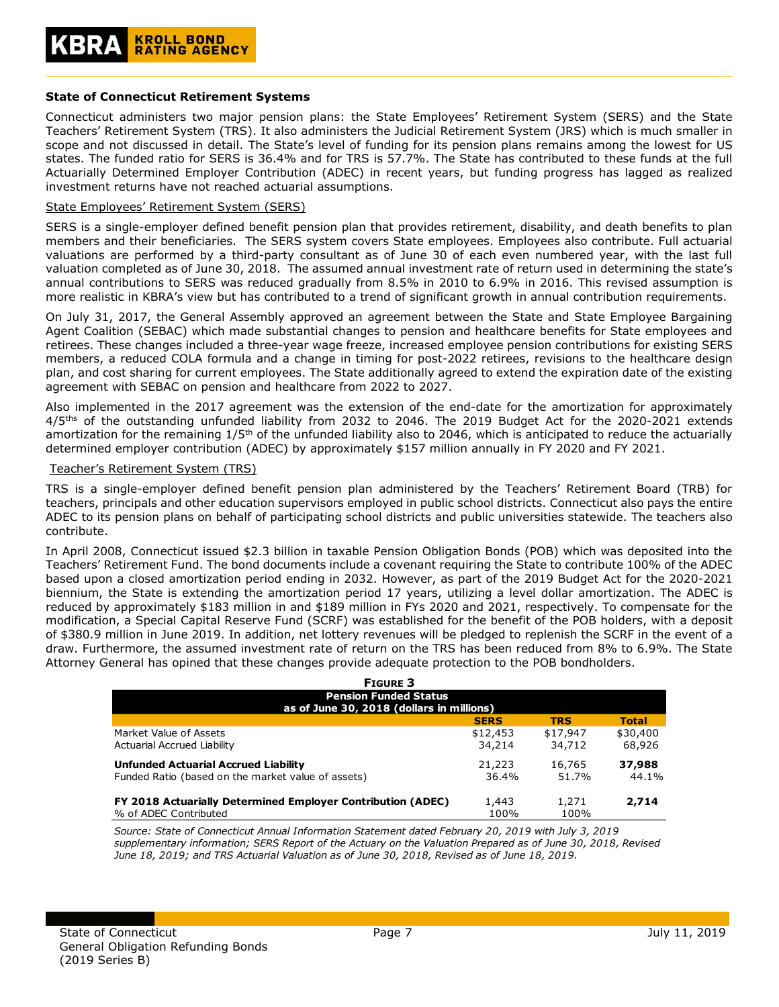#### **State of Connecticut Retirement Systems**

Connecticut administers two major pension plans: the State Employees' Retirement System (SERS) and the State Teachers' Retirement System (TRS). It also administers the Judicial Retirement System (JRS) which is much smaller in scope and not discussed in detail. The State's level of funding for its pension plans remains among the lowest for US states. The funded ratio for SERS is 36.4% and for TRS is 57.7%. The State has contributed to these funds at the full Actuarially Determined Employer Contribution (ADEC) in recent years, but funding progress has lagged as realized investment returns have not reached actuarial assumptions.

#### State Employees' Retirement System (SERS)

SERS is a single-employer defined benefit pension plan that provides retirement, disability, and death benefits to plan members and their beneficiaries. The SERS system covers State employees. Employees also contribute. Full actuarial valuations are performed by a third-party consultant as of June 30 of each even numbered year, with the last full valuation completed as of June 30, 2018. The assumed annual investment rate of return used in determining the state's annual contributions to SERS was reduced gradually from 8.5% in 2010 to 6.9% in 2016. This revised assumption is more realistic in KBRA's view but has contributed to a trend of significant growth in annual contribution requirements.

On July 31, 2017, the General Assembly approved an agreement between the State and State Employee Bargaining Agent Coalition (SEBAC) which made substantial changes to pension and healthcare benefits for State employees and retirees. These changes included a three-year wage freeze, increased employee pension contributions for existing SERS members, a reduced COLA formula and a change in timing for post-2022 retirees, revisions to the healthcare design plan, and cost sharing for current employees. The State additionally agreed to extend the expiration date of the existing agreement with SEBAC on pension and healthcare from 2022 to 2027.

Also implemented in the 2017 agreement was the extension of the end-date for the amortization for approximately 4/5ths of the outstanding unfunded liability from 2032 to 2046. The 2019 Budget Act for the 2020-2021 extends amortization for the remaining 1/5<sup>th</sup> of the unfunded liability also to 2046, which is anticipated to reduce the actuarially determined employer contribution (ADEC) by approximately \$157 million annually in FY 2020 and FY 2021.

#### Teacher's Retirement System (TRS)

TRS is a single-employer defined benefit pension plan administered by the Teachers' Retirement Board (TRB) for teachers, principals and other education supervisors employed in public school districts. Connecticut also pays the entire ADEC to its pension plans on behalf of participating school districts and public universities statewide. The teachers also contribute.

In April 2008, Connecticut issued \$2.3 billion in taxable Pension Obligation Bonds (POB) which was deposited into the Teachers' Retirement Fund. The bond documents include a covenant requiring the State to contribute 100% of the ADEC based upon a closed amortization period ending in 2032. However, as part of the 2019 Budget Act for the 2020-2021 biennium, the State is extending the amortization period 17 years, utilizing a level dollar amortization. The ADEC is reduced by approximately \$183 million in and \$189 million in FYs 2020 and 2021, respectively. To compensate for the modification, a Special Capital Reserve Fund (SCRF) was established for the benefit of the POB holders, with a deposit of \$380.9 million in June 2019. In addition, net lottery revenues will be pledged to replenish the SCRF in the event of a draw. Furthermore, the assumed investment rate of return on the TRS has been reduced from 8% to 6.9%. The State Attorney General has opined that these changes provide adequate protection to the POB bondholders.

| <b>FIGURE 3</b><br><b>Pension Funded Status</b>                    |             |            |              |  |  |  |  |
|--------------------------------------------------------------------|-------------|------------|--------------|--|--|--|--|
|                                                                    |             |            |              |  |  |  |  |
|                                                                    | <b>SERS</b> | <b>TRS</b> | <b>Total</b> |  |  |  |  |
| Market Value of Assets                                             | \$12,453    | \$17,947   | \$30,400     |  |  |  |  |
| Actuarial Accrued Liability                                        | 34,214      | 34,712     | 68,926       |  |  |  |  |
| <b>Unfunded Actuarial Accrued Liability</b>                        | 21,223      | 16,765     | 37,988       |  |  |  |  |
| Funded Ratio (based on the market value of assets)                 | 36.4%       | 51.7%      | 44.1%        |  |  |  |  |
| <b>FY 2018 Actuarially Determined Employer Contribution (ADEC)</b> | 1,443       | 1,271      | 2,714        |  |  |  |  |
| % of ADEC Contributed                                              | 100%        | 100%       |              |  |  |  |  |

*Source: State of Connecticut Annual Information Statement dated February 20, 2019 with July 3, 2019 supplementary information; SERS Report of the Actuary on the Valuation Prepared as of June 30, 2018, Revised June 18, 2019; and TRS Actuarial Valuation as of June 30, 2018, Revised as of June 18, 2019.*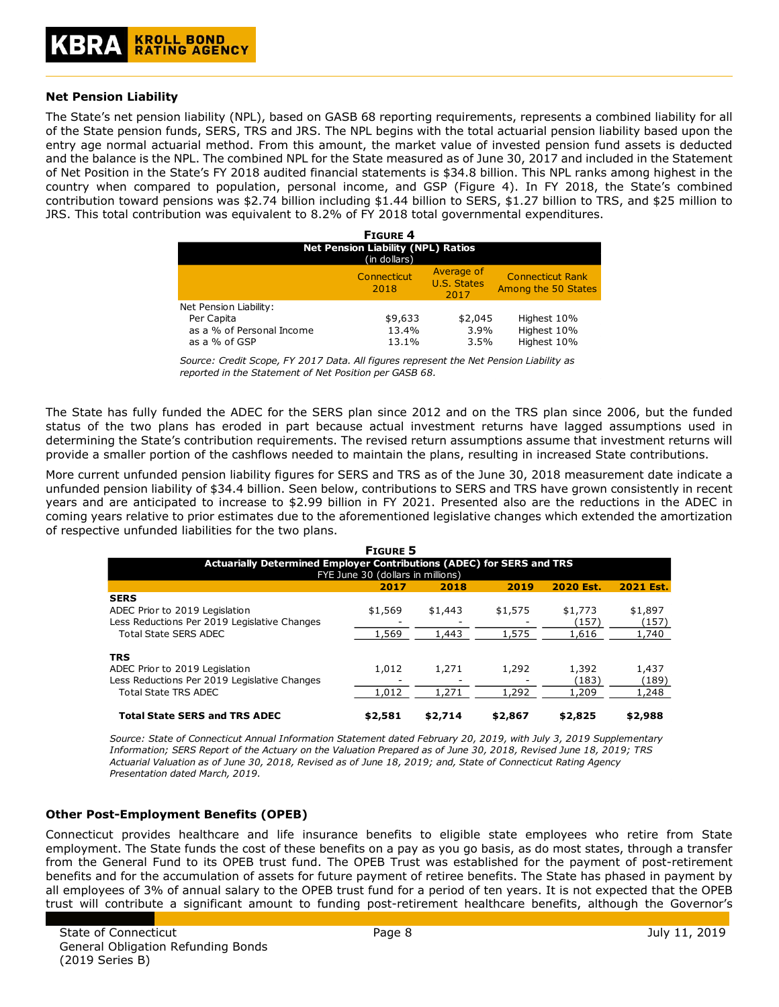#### **Net Pension Liability**

The State's net pension liability (NPL), based on GASB 68 reporting requirements, represents a combined liability for all of the State pension funds, SERS, TRS and JRS. The NPL begins with the total actuarial pension liability based upon the entry age normal actuarial method. From this amount, the market value of invested pension fund assets is deducted and the balance is the NPL. The combined NPL for the State measured as of June 30, 2017 and included in the Statement of Net Position in the State's FY 2018 audited financial statements is \$34.8 billion. This NPL ranks among highest in the country when compared to population, personal income, and GSP (Figure 4). In FY 2018, the State's combined contribution toward pensions was \$2.74 billion including \$1.44 billion to SERS, \$1.27 billion to TRS, and \$25 million to JRS. This total contribution was equivalent to 8.2% of FY 2018 total governmental expenditures.

| <b>FIGURE 4</b>                                           |                     |                                   |                                                |  |  |  |  |
|-----------------------------------------------------------|---------------------|-----------------------------------|------------------------------------------------|--|--|--|--|
| <b>Net Pension Liability (NPL) Ratios</b><br>(in dollars) |                     |                                   |                                                |  |  |  |  |
|                                                           | Connecticut<br>2018 | Average of<br>U.S. States<br>2017 | <b>Connecticut Rank</b><br>Among the 50 States |  |  |  |  |
| Net Pension Liability:                                    |                     |                                   |                                                |  |  |  |  |
| Per Capita                                                | \$9,633             | \$2,045                           | Highest 10%                                    |  |  |  |  |
| as a % of Personal Income                                 | 13.4%               | 3.9%                              | Highest 10%                                    |  |  |  |  |
| as a % of GSP                                             | 13.1%               | 3.5%                              | Highest 10%                                    |  |  |  |  |

*Source: Credit Scope, FY 2017 Data. All figures represent the Net Pension Liability as reported in the Statement of Net Position per GASB 68.*

The State has fully funded the ADEC for the SERS plan since 2012 and on the TRS plan since 2006, but the funded status of the two plans has eroded in part because actual investment returns have lagged assumptions used in determining the State's contribution requirements. The revised return assumptions assume that investment returns will provide a smaller portion of the cashflows needed to maintain the plans, resulting in increased State contributions.

More current unfunded pension liability figures for SERS and TRS as of the June 30, 2018 measurement date indicate a unfunded pension liability of \$34.4 billion. Seen below, contributions to SERS and TRS have grown consistently in recent years and are anticipated to increase to \$2.99 billion in FY 2021. Presented also are the reductions in the ADEC in coming years relative to prior estimates due to the aforementioned legislative changes which extended the amortization of respective unfunded liabilities for the two plans.

|                                                                                                                               | <b>FIGURE 5</b>  |                  |                  |                           |                           |  |  |  |  |
|-------------------------------------------------------------------------------------------------------------------------------|------------------|------------------|------------------|---------------------------|---------------------------|--|--|--|--|
| Actuarially Determined Employer Contributions (ADEC) for SERS and TRS<br>FYE June 30 (dollars in millions)                    |                  |                  |                  |                           |                           |  |  |  |  |
|                                                                                                                               | 2017             | 2018             | 2019             | 2020 Est.                 | 2021 Est.                 |  |  |  |  |
| <b>SERS</b><br>ADEC Prior to 2019 Legislation<br>Less Reductions Per 2019 Legislative Changes<br><b>Total State SERS ADEC</b> | \$1,569<br>1,569 | \$1,443<br>1,443 | \$1,575<br>1,575 | \$1,773<br>(157)<br>1,616 | \$1,897<br>(157)<br>1,740 |  |  |  |  |
| <b>TRS</b><br>ADEC Prior to 2019 Legislation<br>Less Reductions Per 2019 Legislative Changes<br><b>Total State TRS ADEC</b>   | 1,012<br>1,012   | 1,271<br>1,271   | 1,292<br>1,292   | 1,392<br>(183)<br>1,209   | 1,437<br>(189)<br>1,248   |  |  |  |  |
| <b>Total State SERS and TRS ADEC</b>                                                                                          | \$2,581          | \$2,714          | \$2,867          | \$2,825                   | \$2,988                   |  |  |  |  |

*Source: State of Connecticut Annual Information Statement dated February 20, 2019, with July 3, 2019 Supplementary Information; SERS Report of the Actuary on the Valuation Prepared as of June 30, 2018, Revised June 18, 2019; TRS Actuarial Valuation as of June 30, 2018, Revised as of June 18, 2019; and, State of Connecticut Rating Agency Presentation dated March, 2019.*

#### **Other Post-Employment Benefits (OPEB)**

Connecticut provides healthcare and life insurance benefits to eligible state employees who retire from State employment. The State funds the cost of these benefits on a pay as you go basis, as do most states, through a transfer from the General Fund to its OPEB trust fund. The OPEB Trust was established for the payment of post-retirement benefits and for the accumulation of assets for future payment of retiree benefits. The State has phased in payment by all employees of 3% of annual salary to the OPEB trust fund for a period of ten years. It is not expected that the OPEB trust will contribute a significant amount to funding post-retirement healthcare benefits, although the Governor's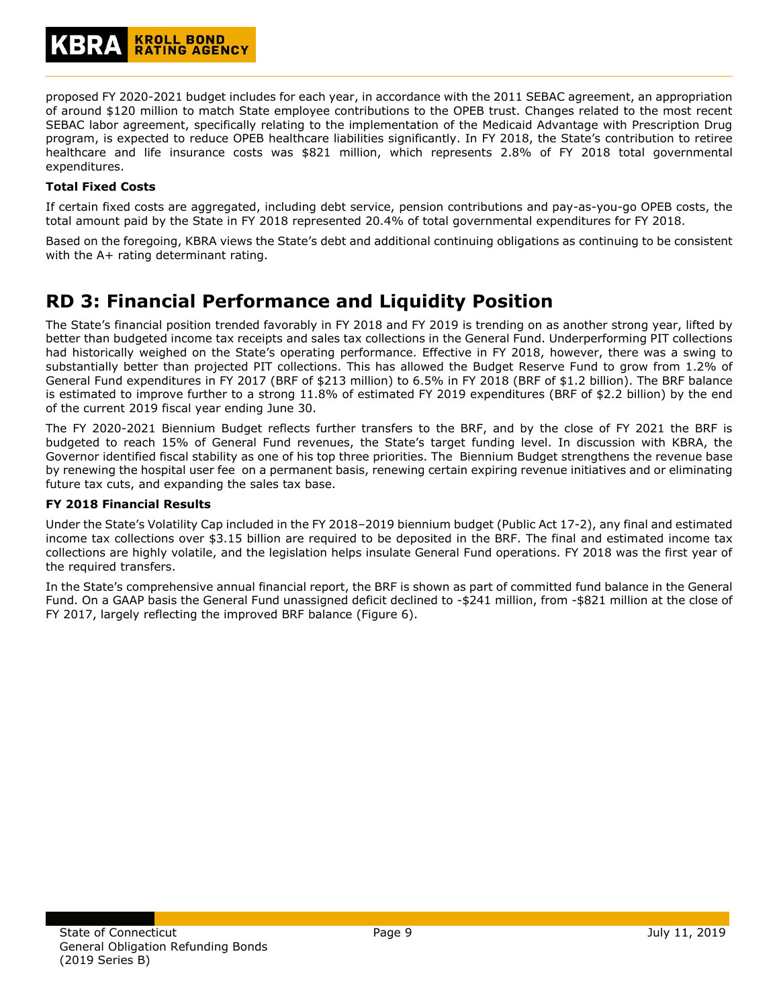proposed FY 2020-2021 budget includes for each year, in accordance with the 2011 SEBAC agreement, an appropriation of around \$120 million to match State employee contributions to the OPEB trust. Changes related to the most recent SEBAC labor agreement, specifically relating to the implementation of the Medicaid Advantage with Prescription Drug program, is expected to reduce OPEB healthcare liabilities significantly. In FY 2018, the State's contribution to retiree healthcare and life insurance costs was \$821 million, which represents 2.8% of FY 2018 total governmental expenditures.

## **Total Fixed Costs**

If certain fixed costs are aggregated, including debt service, pension contributions and pay-as-you-go OPEB costs, the total amount paid by the State in FY 2018 represented 20.4% of total governmental expenditures for FY 2018.

Based on the foregoing, KBRA views the State's debt and additional continuing obligations as continuing to be consistent with the A+ rating determinant rating.

## **RD 3: Financial Performance and Liquidity Position**

The State's financial position trended favorably in FY 2018 and FY 2019 is trending on as another strong year, lifted by better than budgeted income tax receipts and sales tax collections in the General Fund. Underperforming PIT collections had historically weighed on the State's operating performance. Effective in FY 2018, however, there was a swing to substantially better than projected PIT collections. This has allowed the Budget Reserve Fund to grow from 1.2% of General Fund expenditures in FY 2017 (BRF of \$213 million) to 6.5% in FY 2018 (BRF of \$1.2 billion). The BRF balance is estimated to improve further to a strong 11.8% of estimated FY 2019 expenditures (BRF of \$2.2 billion) by the end of the current 2019 fiscal year ending June 30.

The FY 2020-2021 Biennium Budget reflects further transfers to the BRF, and by the close of FY 2021 the BRF is budgeted to reach 15% of General Fund revenues, the State's target funding level. In discussion with KBRA, the Governor identified fiscal stability as one of his top three priorities. The Biennium Budget strengthens the revenue base by renewing the hospital user fee on a permanent basis, renewing certain expiring revenue initiatives and or eliminating future tax cuts, and expanding the sales tax base.

## **FY 2018 Financial Results**

Under the State's Volatility Cap included in the FY 2018–2019 biennium budget (Public Act 17-2), any final and estimated income tax collections over \$3.15 billion are required to be deposited in the BRF. The final and estimated income tax collections are highly volatile, and the legislation helps insulate General Fund operations. FY 2018 was the first year of the required transfers.

In the State's comprehensive annual financial report, the BRF is shown as part of committed fund balance in the General Fund. On a GAAP basis the General Fund unassigned deficit declined to -\$241 million, from -\$821 million at the close of FY 2017, largely reflecting the improved BRF balance (Figure 6).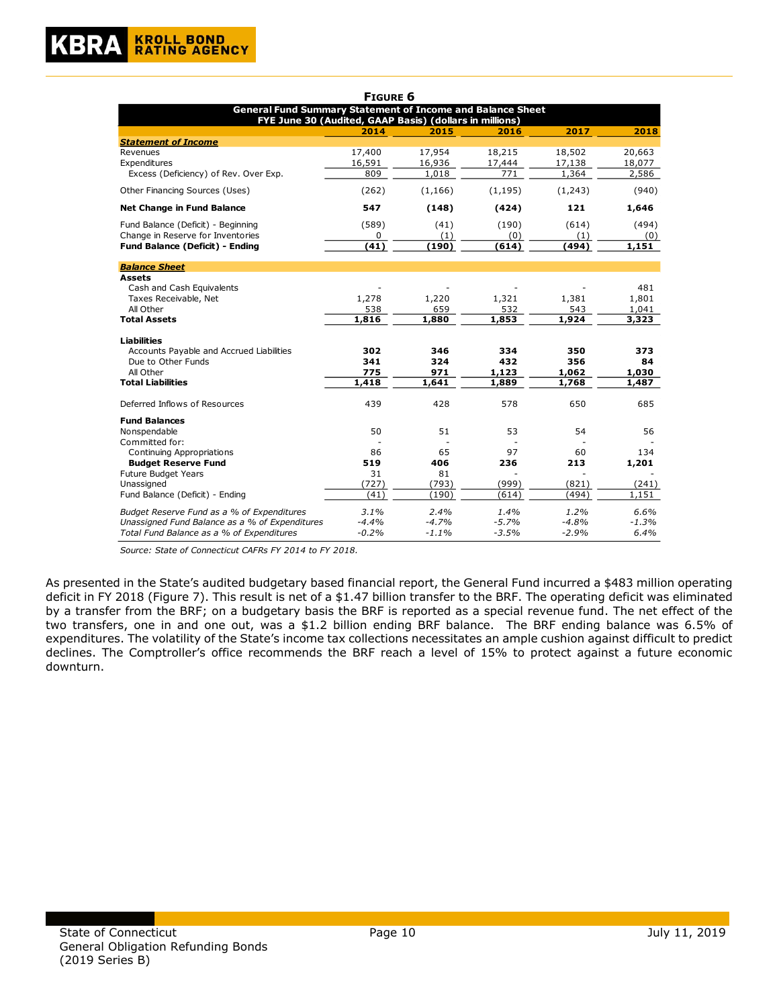|                                                                   | <b>FIGURE 6</b> |          |          |          |         |
|-------------------------------------------------------------------|-----------------|----------|----------|----------|---------|
| <b>General Fund Summary Statement of Income and Balance Sheet</b> |                 |          |          |          |         |
| FYE June 30 (Audited, GAAP Basis) (dollars in millions)           |                 |          |          |          |         |
|                                                                   | 2014            | 2015     | 2016     | 2017     | 2018    |
| <b>Statement of Income</b>                                        |                 |          |          |          |         |
| Revenues                                                          | 17,400          | 17,954   | 18,215   | 18,502   | 20,663  |
| Expenditures                                                      | 16,591          | 16,936   | 17,444   | 17,138   | 18,077  |
| Excess (Deficiency) of Rev. Over Exp.                             | 809             | 1,018    | 771      | 1,364    | 2,586   |
| Other Financing Sources (Uses)                                    | (262)           | (1, 166) | (1, 195) | (1, 243) | (940)   |
| <b>Net Change in Fund Balance</b>                                 | 547             | (148)    | (424)    | 121      | 1,646   |
| Fund Balance (Deficit) - Beginning                                | (589)           | (41)     | (190)    | (614)    | (494)   |
| Change in Reserve for Inventories                                 | 0               | (1)      | (0)      | (1)      | (0)     |
| <b>Fund Balance (Deficit) - Ending</b>                            | (41)            | (190)    | (614)    | (494)    | 1,151   |
| <b>Balance Sheet</b>                                              |                 |          |          |          |         |
| <b>Assets</b>                                                     |                 |          |          |          |         |
| Cash and Cash Equivalents                                         |                 |          |          |          | 481     |
| Taxes Receivable, Net                                             | 1,278           | 1,220    | 1,321    | 1,381    | 1,801   |
| All Other                                                         | 538             | 659      | 532      | 543      | 1,041   |
| <b>Total Assets</b>                                               | 1,816           | 1,880    | 1,853    | 1,924    | 3,323   |
| <b>Liabilities</b>                                                |                 |          |          |          |         |
| Accounts Payable and Accrued Liabilities                          | 302             | 346      | 334      | 350      | 373     |
| Due to Other Funds                                                | 341             | 324      | 432      | 356      | 84      |
| All Other                                                         | 775             | 971      | 1,123    | 1,062    | 1,030   |
| <b>Total Liabilities</b>                                          | 1,418           | 1,641    | 1,889    | 1,768    | 1,487   |
| Deferred Inflows of Resources                                     | 439             | 428      | 578      | 650      | 685     |
| <b>Fund Balances</b>                                              |                 |          |          |          |         |
| Nonspendable                                                      | 50              | 51       | 53       | 54       | 56      |
| Committed for:                                                    |                 |          |          |          |         |
| Continuing Appropriations                                         | 86              | 65       | 97       | 60       | 134     |
| <b>Budget Reserve Fund</b>                                        | 519             | 406      | 236      | 213      | 1,201   |
| Future Budget Years                                               | 31              | 81       |          |          |         |
| Unassigned                                                        | (727)           | (793)    | (999)    | (821)    | (241)   |
| Fund Balance (Deficit) - Ending                                   | (41)            | (190)    | (614)    | (494)    | 1,151   |
| Budget Reserve Fund as a % of Expenditures                        | 3.1%            | 2.4%     | 1.4%     | 1.2%     | 6.6%    |
| Unassigned Fund Balance as a % of Expenditures                    | $-4.4%$         | $-4.7%$  | $-5.7%$  | $-4.8%$  | $-1.3%$ |
| Total Fund Balance as a % of Expenditures                         | $-0.2%$         | $-1.1%$  | $-3.5%$  | $-2.9%$  | 6.4%    |

*Source: State of Connecticut CAFRs FY 2014 to FY 2018.*

As presented in the State's audited budgetary based financial report, the General Fund incurred a \$483 million operating deficit in FY 2018 (Figure 7). This result is net of a \$1.47 billion transfer to the BRF. The operating deficit was eliminated by a transfer from the BRF; on a budgetary basis the BRF is reported as a special revenue fund. The net effect of the two transfers, one in and one out, was a \$1.2 billion ending BRF balance. The BRF ending balance was 6.5% of expenditures. The volatility of the State's income tax collections necessitates an ample cushion against difficult to predict declines. The Comptroller's office recommends the BRF reach a level of 15% to protect against a future economic downturn.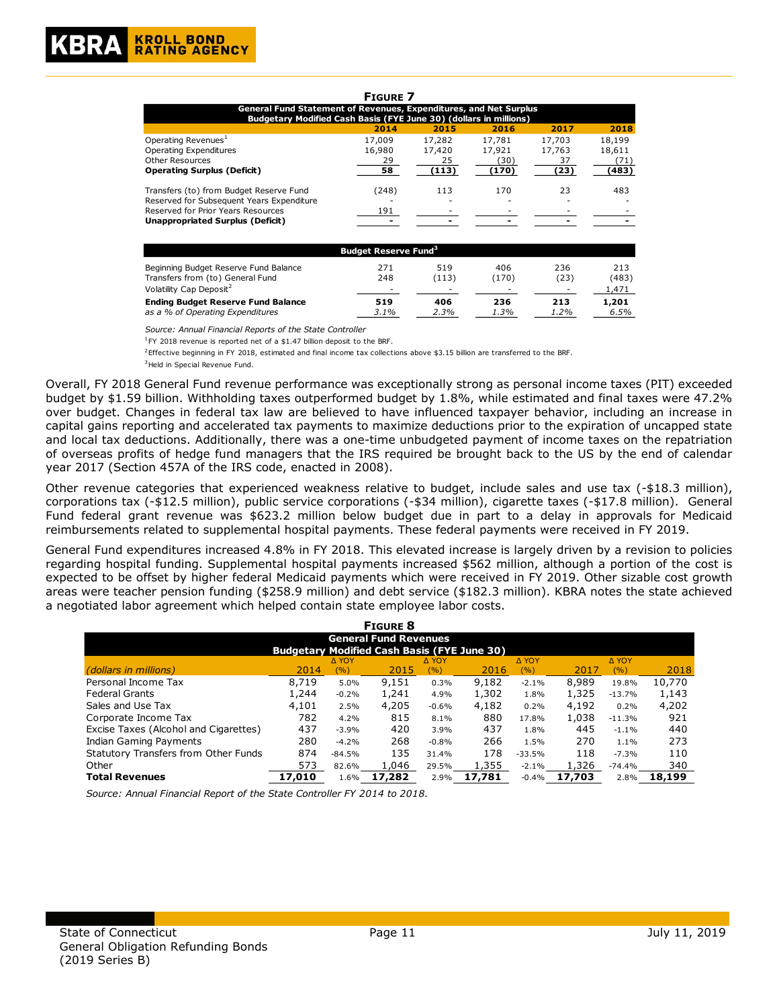| <b>FIGURE 7</b>                                                                                           |                                        |        |        |        |        |  |  |  |  |  |
|-----------------------------------------------------------------------------------------------------------|----------------------------------------|--------|--------|--------|--------|--|--|--|--|--|
| General Fund Statement of Revenues, Expenditures, and Net Surplus                                         |                                        |        |        |        |        |  |  |  |  |  |
| Budgetary Modified Cash Basis (FYE June 30) (dollars in millions)<br>2018<br>2015<br>2016<br>2017<br>2014 |                                        |        |        |        |        |  |  |  |  |  |
| Operating Revenues <sup>1</sup>                                                                           | 17,009                                 | 17,282 | 17,781 | 17,703 | 18,199 |  |  |  |  |  |
| Operating Expenditures                                                                                    | 16,980                                 | 17,420 | 17,921 | 17,763 | 18,611 |  |  |  |  |  |
| <b>Other Resources</b>                                                                                    | 29                                     | 25     | (30)   | 37     | (71)   |  |  |  |  |  |
| <b>Operating Surplus (Deficit)</b>                                                                        | 58                                     | (113)  | (170)  | (23)   | (483)  |  |  |  |  |  |
| Transfers (to) from Budget Reserve Fund                                                                   | (248)                                  | 113    | 170    | 23     | 483    |  |  |  |  |  |
| Reserved for Subsequent Years Expenditure                                                                 |                                        |        |        |        |        |  |  |  |  |  |
| Reserved for Prior Years Resources                                                                        | 191                                    |        |        |        |        |  |  |  |  |  |
| <b>Unappropriated Surplus (Deficit)</b>                                                                   |                                        |        |        |        |        |  |  |  |  |  |
|                                                                                                           |                                        |        |        |        |        |  |  |  |  |  |
|                                                                                                           | <b>Budget Reserve Fund<sup>3</sup></b> |        |        |        |        |  |  |  |  |  |
| Beginning Budget Reserve Fund Balance                                                                     | 271                                    | 519    | 406    | 236    | 213    |  |  |  |  |  |
| Transfers from (to) General Fund                                                                          | 248                                    | (113)  | (170)  | (23)   | (483)  |  |  |  |  |  |
| Volatility Cap Deposit <sup>2</sup>                                                                       |                                        |        |        |        | 1,471  |  |  |  |  |  |
| <b>Ending Budget Reserve Fund Balance</b>                                                                 | 519                                    | 406    | 236    | 213    | 1,201  |  |  |  |  |  |
| as a % of Operating Expenditures                                                                          | 3.1%                                   | 2.3%   | 1.3%   | 1.2%   | 6.5%   |  |  |  |  |  |

*Source: Annual Financial Reports of the State Controller*

<sup>1</sup>FY 2018 revenue is reported net of a \$1.47 billion deposit to the BRF.

<sup>3</sup>Held in Special Revenue Fund. <sup>2</sup>Effective beginning in FY 2018, estimated and final income tax collections above \$3.15 billion are transferred to the BRF.

Overall, FY 2018 General Fund revenue performance was exceptionally strong as personal income taxes (PIT) exceeded budget by \$1.59 billion. Withholding taxes outperformed budget by 1.8%, while estimated and final taxes were 47.2% over budget. Changes in federal tax law are believed to have influenced taxpayer behavior, including an increase in capital gains reporting and accelerated tax payments to maximize deductions prior to the expiration of uncapped state and local tax deductions. Additionally, there was a one-time unbudgeted payment of income taxes on the repatriation of overseas profits of hedge fund managers that the IRS required be brought back to the US by the end of calendar year 2017 (Section 457A of the IRS code, enacted in 2008).

Other revenue categories that experienced weakness relative to budget, include sales and use tax (-\$18.3 million), corporations tax (-\$12.5 million), public service corporations (-\$34 million), cigarette taxes (-\$17.8 million). General Fund federal grant revenue was \$623.2 million below budget due in part to a delay in approvals for Medicaid reimbursements related to supplemental hospital payments. These federal payments were received in FY 2019.

General Fund expenditures increased 4.8% in FY 2018. This elevated increase is largely driven by a revision to policies regarding hospital funding. Supplemental hospital payments increased \$562 million, although a portion of the cost is expected to be offset by higher federal Medicaid payments which were received in FY 2019. Other sizable cost growth areas were teacher pension funding (\$258.9 million) and debt service (\$182.3 million). KBRA notes the state achieved a negotiated labor agreement which helped contain state employee labor costs.

| <b>FIGURE 8</b>                                    |        |              |        |              |        |          |        |          |        |
|----------------------------------------------------|--------|--------------|--------|--------------|--------|----------|--------|----------|--------|
| <b>General Fund Revenues</b>                       |        |              |        |              |        |          |        |          |        |
| <b>Budgetary Modified Cash Basis (FYE June 30)</b> |        |              |        |              |        |          |        |          |        |
|                                                    |        | <b>A YOY</b> |        | <b>A YOY</b> |        | A YOY    |        | A YOY    |        |
| <i>(dollars in millions)</i>                       | 2014   | (%)          | 2015   | (%)          | 2016   | (%)      | 2017   | (%)      | 2018   |
| Personal Income Tax                                | 8.719  | 5.0%         | 9,151  | 0.3%         | 9,182  | $-2.1%$  | 8,989  | 19.8%    | 10,770 |
| <b>Federal Grants</b>                              | 1,244  | $-0.2%$      | 1,241  | 4.9%         | 1,302  | 1.8%     | 1,325  | $-13.7%$ | 1,143  |
| Sales and Use Tax                                  | 4,101  | 2.5%         | 4,205  | $-0.6%$      | 4,182  | 0.2%     | 4,192  | 0.2%     | 4,202  |
| Corporate Income Tax                               | 782    | 4.2%         | 815    | 8.1%         | 880    | 17.8%    | 1,038  | $-11.3%$ | 921    |
| Excise Taxes (Alcohol and Cigarettes)              | 437    | $-3.9%$      | 420    | 3.9%         | 437    | 1.8%     | 445    | $-1.1%$  | 440    |
| Indian Gaming Payments                             | 280    | $-4.2%$      | 268    | $-0.8%$      | 266    | 1.5%     | 270    | 1.1%     | 273    |
| Statutory Transfers from Other Funds               | 874    | $-84.5%$     | 135    | 31.4%        | 178    | $-33.5%$ | 118    | $-7.3%$  | 110    |
| Other                                              | 573    | 82.6%        | 1,046  | 29.5%        | 1,355  | $-2.1%$  | 1,326  | $-74.4%$ | 340    |
| <b>Total Revenues</b>                              | 17,010 | 1.6%         | 17,282 | 2.9%         | 17.781 | $-0.4%$  | 17,703 | 2.8%     | 18,199 |

*Source: Annual Financial Report of the State Controller FY 2014 to 2018.*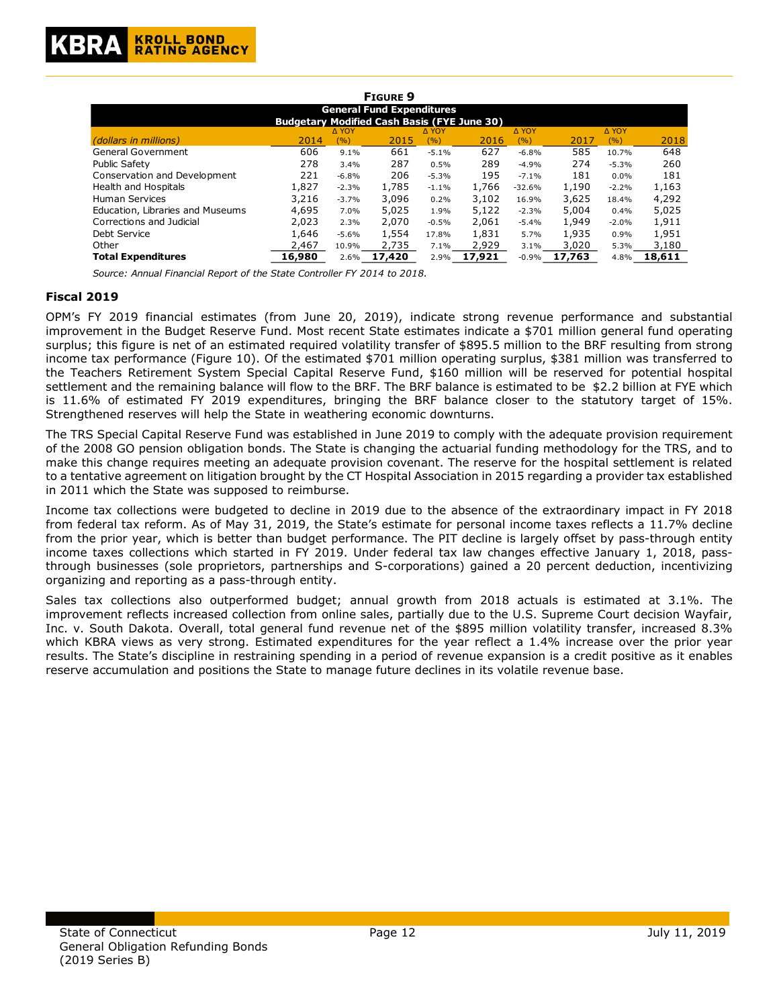

| <b>FIGURE 9</b>                                    |        |              |        |              |        |          |        |         |        |
|----------------------------------------------------|--------|--------------|--------|--------------|--------|----------|--------|---------|--------|
| <b>General Fund Expenditures</b>                   |        |              |        |              |        |          |        |         |        |
| <b>Budgetary Modified Cash Basis (FYE June 30)</b> |        |              |        |              |        |          |        |         |        |
|                                                    |        | <b>A YOY</b> |        | <b>A YOY</b> |        | A YOY    |        | A YOY   |        |
| <i>(dollars in millions)</i>                       | 2014   | (%)          | 2015   | (%)          | 2016   | (%)      | 2017   | (9/6)   | 2018   |
| <b>General Government</b>                          | 606    | 9.1%         | 661    | $-5.1%$      | 627    | $-6.8%$  | 585    | 10.7%   | 648    |
| Public Safety                                      | 278    | 3.4%         | 287    | 0.5%         | 289    | $-4.9%$  | 274    | $-5.3%$ | 260    |
| Conservation and Development                       | 221    | $-6.8%$      | 206    | $-5.3%$      | 195    | $-7.1%$  | 181    | $0.0\%$ | 181    |
| Health and Hospitals                               | 1,827  | $-2.3%$      | 1,785  | $-1.1%$      | 1,766  | $-32.6%$ | 1,190  | $-2.2%$ | 1,163  |
| <b>Human Services</b>                              | 3,216  | $-3.7%$      | 3,096  | 0.2%         | 3,102  | 16.9%    | 3,625  | 18.4%   | 4,292  |
| Education, Libraries and Museums                   | 4,695  | 7.0%         | 5,025  | 1.9%         | 5,122  | $-2.3%$  | 5,004  | 0.4%    | 5,025  |
| Corrections and Judicial                           | 2,023  | 2.3%         | 2,070  | $-0.5%$      | 2.061  | $-5.4%$  | 1,949  | $-2.0%$ | 1,911  |
| Debt Service                                       | 1,646  | $-5.6%$      | 1,554  | 17.8%        | 1,831  | 5.7%     | 1,935  | 0.9%    | 1,951  |
| Other                                              | 2,467  | 10.9%        | 2,735  | 7.1%         | 2,929  | 3.1%     | 3,020  | 5.3%    | 3,180  |
| <b>Total Expenditures</b>                          | 16,980 | 2.6%         | 17,420 | 2.9%         | 17,921 | $-0.9%$  | 17,763 | 4.8%    | 18,611 |

*Source: Annual Financial Report of the State Controller FY 2014 to 2018.*

#### **Fiscal 2019**

OPM's FY 2019 financial estimates (from June 20, 2019), indicate strong revenue performance and substantial improvement in the Budget Reserve Fund. Most recent State estimates indicate a \$701 million general fund operating surplus; this figure is net of an estimated required volatility transfer of \$895.5 million to the BRF resulting from strong income tax performance (Figure 10). Of the estimated \$701 million operating surplus, \$381 million was transferred to the Teachers Retirement System Special Capital Reserve Fund, \$160 million will be reserved for potential hospital settlement and the remaining balance will flow to the BRF. The BRF balance is estimated to be \$2.2 billion at FYE which is 11.6% of estimated FY 2019 expenditures, bringing the BRF balance closer to the statutory target of 15%. Strengthened reserves will help the State in weathering economic downturns.

The TRS Special Capital Reserve Fund was established in June 2019 to comply with the adequate provision requirement of the 2008 GO pension obligation bonds. The State is changing the actuarial funding methodology for the TRS, and to make this change requires meeting an adequate provision covenant. The reserve for the hospital settlement is related to a tentative agreement on litigation brought by the CT Hospital Association in 2015 regarding a provider tax established in 2011 which the State was supposed to reimburse.

Income tax collections were budgeted to decline in 2019 due to the absence of the extraordinary impact in FY 2018 from federal tax reform. As of May 31, 2019, the State's estimate for personal income taxes reflects a 11.7% decline from the prior year, which is better than budget performance. The PIT decline is largely offset by pass-through entity income taxes collections which started in FY 2019. Under federal tax law changes effective January 1, 2018, passthrough businesses (sole proprietors, partnerships and S-corporations) gained a 20 percent deduction, incentivizing organizing and reporting as a pass-through entity.

Sales tax collections also outperformed budget; annual growth from 2018 actuals is estimated at 3.1%. The improvement reflects increased collection from online sales, partially due to the U.S. Supreme Court decision Wayfair, Inc. v. South Dakota. Overall, total general fund revenue net of the \$895 million volatility transfer, increased 8.3% which KBRA views as very strong. Estimated expenditures for the year reflect a 1.4% increase over the prior year results. The State's discipline in restraining spending in a period of revenue expansion is a credit positive as it enables reserve accumulation and positions the State to manage future declines in its volatile revenue base.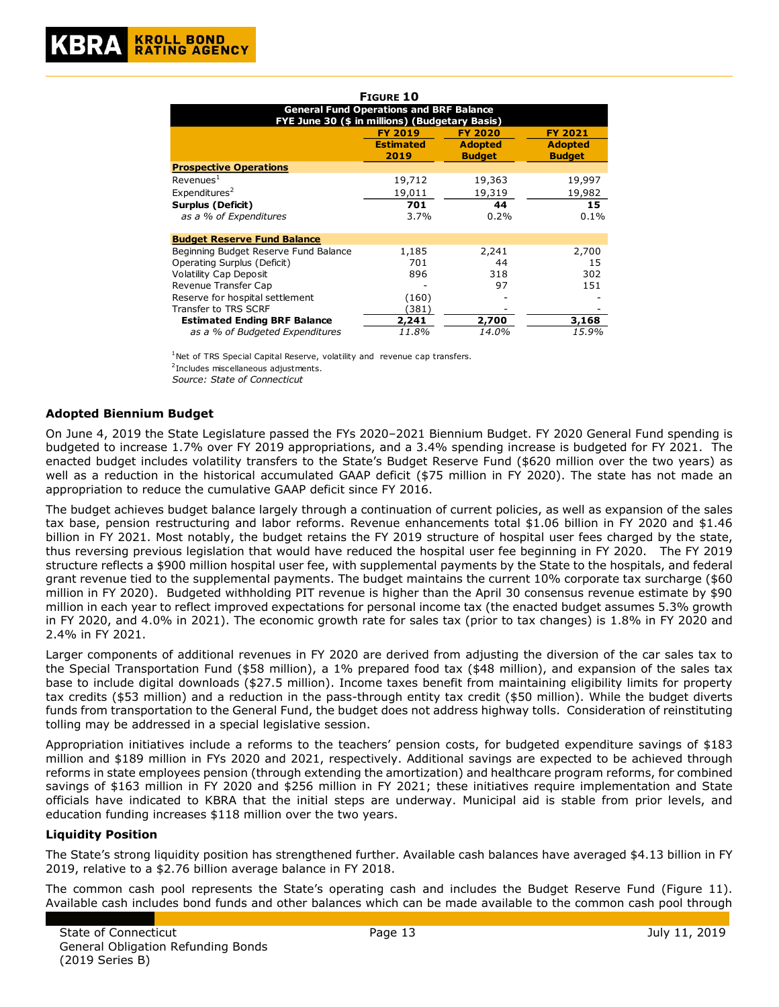|                                                | FIGURE 10                                      |                |                |
|------------------------------------------------|------------------------------------------------|----------------|----------------|
| FYE June 30 (\$ in millions) (Budgetary Basis) | <b>General Fund Operations and BRF Balance</b> |                |                |
|                                                | <b>FY 2019</b>                                 | <b>FY 2020</b> | <b>FY 2021</b> |
|                                                | <b>Estimated</b>                               | <b>Adopted</b> | <b>Adopted</b> |
|                                                | 2019                                           | <b>Budget</b>  | <b>Budget</b>  |
| <b>Prospective Operations</b>                  |                                                |                |                |
| Revenues <sup>1</sup>                          | 19,712                                         | 19,363         | 19,997         |
| Expenditures <sup>2</sup>                      | 19,011                                         | 19,319         | 19,982         |
| Surplus (Deficit)                              | 701                                            | 44             | 15             |
| as a % of Expenditures                         | 3.7%                                           | 0.2%           | 0.1%           |
| <b>Budget Reserve Fund Balance</b>             |                                                |                |                |
| Beginning Budget Reserve Fund Balance          | 1,185                                          | 2,241          | 2,700          |
| Operating Surplus (Deficit)                    | 701                                            | 44             | 15             |
| Volatility Cap Deposit                         | 896                                            | 318            | 302            |
| Revenue Transfer Cap                           |                                                | 97             | 151            |
| Reserve for hospital settlement                | (160)                                          |                |                |
| Transfer to TRS SCRF                           | (381)                                          |                |                |
| <b>Estimated Ending BRF Balance</b>            | 2,241                                          | 2,700          | 3,168          |
| as a % of Budgeted Expenditures                | 11.8%                                          | 14.0%          | 15.9%          |

 $1$ Net of TRS Special Capital Reserve, volatility and revenue cap transfers.

<sup>2</sup> Includes miscellaneous adjustments.

*Source: State of Connecticut*

## **Adopted Biennium Budget**

On June 4, 2019 the State Legislature passed the FYs 2020–2021 Biennium Budget. FY 2020 General Fund spending is budgeted to increase 1.7% over FY 2019 appropriations, and a 3.4% spending increase is budgeted for FY 2021. The enacted budget includes volatility transfers to the State's Budget Reserve Fund (\$620 million over the two years) as well as a reduction in the historical accumulated GAAP deficit (\$75 million in FY 2020). The state has not made an appropriation to reduce the cumulative GAAP deficit since FY 2016.

The budget achieves budget balance largely through a continuation of current policies, as well as expansion of the sales tax base, pension restructuring and labor reforms. Revenue enhancements total \$1.06 billion in FY 2020 and \$1.46 billion in FY 2021. Most notably, the budget retains the FY 2019 structure of hospital user fees charged by the state, thus reversing previous legislation that would have reduced the hospital user fee beginning in FY 2020. The FY 2019 structure reflects a \$900 million hospital user fee, with supplemental payments by the State to the hospitals, and federal grant revenue tied to the supplemental payments. The budget maintains the current 10% corporate tax surcharge (\$60 million in FY 2020). Budgeted withholding PIT revenue is higher than the April 30 consensus revenue estimate by \$90 million in each year to reflect improved expectations for personal income tax (the enacted budget assumes 5.3% growth in FY 2020, and 4.0% in 2021). The economic growth rate for sales tax (prior to tax changes) is 1.8% in FY 2020 and 2.4% in FY 2021.

Larger components of additional revenues in FY 2020 are derived from adjusting the diversion of the car sales tax to the Special Transportation Fund (\$58 million), a 1% prepared food tax (\$48 million), and expansion of the sales tax base to include digital downloads (\$27.5 million). Income taxes benefit from maintaining eligibility limits for property tax credits (\$53 million) and a reduction in the pass-through entity tax credit (\$50 million). While the budget diverts funds from transportation to the General Fund, the budget does not address highway tolls. Consideration of reinstituting tolling may be addressed in a special legislative session.

Appropriation initiatives include a reforms to the teachers' pension costs, for budgeted expenditure savings of \$183 million and \$189 million in FYs 2020 and 2021, respectively. Additional savings are expected to be achieved through reforms in state employees pension (through extending the amortization) and healthcare program reforms, for combined savings of \$163 million in FY 2020 and \$256 million in FY 2021; these initiatives require implementation and State officials have indicated to KBRA that the initial steps are underway. Municipal aid is stable from prior levels, and education funding increases \$118 million over the two years.

#### **Liquidity Position**

The State's strong liquidity position has strengthened further. Available cash balances have averaged \$4.13 billion in FY 2019, relative to a \$2.76 billion average balance in FY 2018.

The common cash pool represents the State's operating cash and includes the Budget Reserve Fund (Figure 11). Available cash includes bond funds and other balances which can be made available to the common cash pool through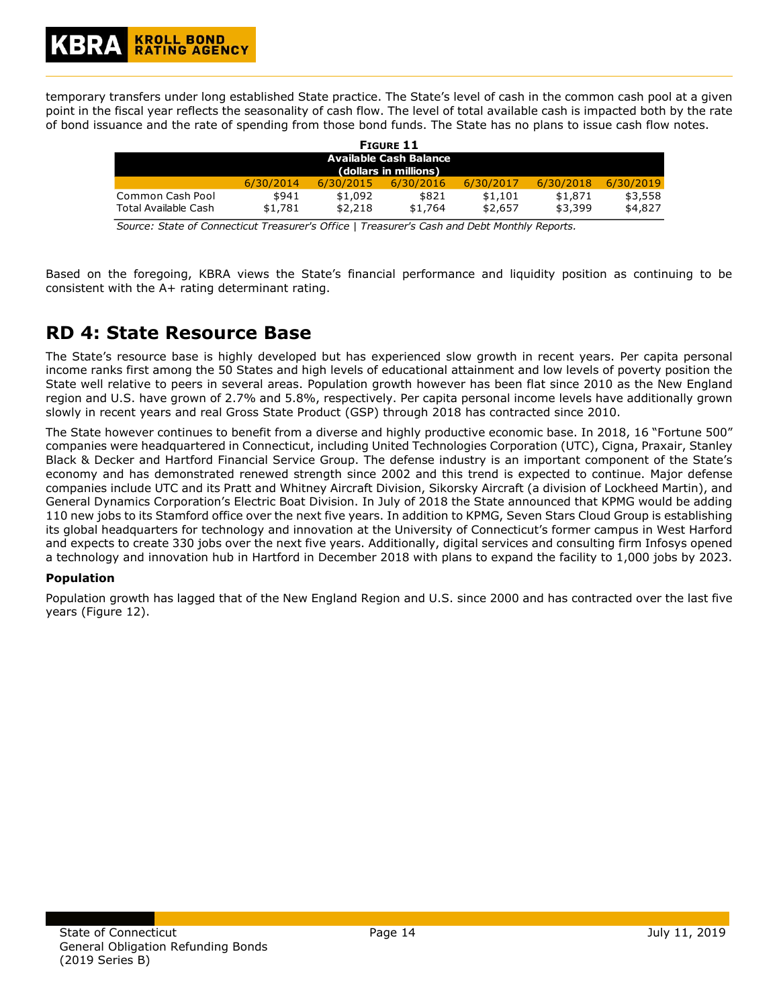temporary transfers under long established State practice. The State's level of cash in the common cash pool at a given point in the fiscal year reflects the seasonality of cash flow. The level of total available cash is impacted both by the rate of bond issuance and the rate of spending from those bond funds. The State has no plans to issue cash flow notes.

| <b>FIGURE 11</b>                                       |                  |                    |                  |                    |                    |                    |
|--------------------------------------------------------|------------------|--------------------|------------------|--------------------|--------------------|--------------------|
| <b>Available Cash Balance</b><br>(dollars in millions) |                  |                    |                  |                    |                    |                    |
|                                                        | 6/30/2014        | 6/30/2015          | 6/30/2016        | 6/30/2017          | 6/30/2018          | 6/30/2019          |
| Common Cash Pool<br>Total Available Cash               | \$941<br>\$1,781 | \$1,092<br>\$2,218 | \$821<br>\$1,764 | \$1,101<br>\$2,657 | \$1,871<br>\$3,399 | \$3,558<br>\$4,827 |

*Source: State of Connecticut Treasurer's Office | Treasurer's Cash and Debt Monthly Reports.*

Based on the foregoing, KBRA views the State's financial performance and liquidity position as continuing to be consistent with the A+ rating determinant rating.

## **RD 4: State Resource Base**

The State's resource base is highly developed but has experienced slow growth in recent years. Per capita personal income ranks first among the 50 States and high levels of educational attainment and low levels of poverty position the State well relative to peers in several areas. Population growth however has been flat since 2010 as the New England region and U.S. have grown of 2.7% and 5.8%, respectively. Per capita personal income levels have additionally grown slowly in recent years and real Gross State Product (GSP) through 2018 has contracted since 2010.

The State however continues to benefit from a diverse and highly productive economic base. In 2018, 16 "Fortune 500" companies were headquartered in Connecticut, including United Technologies Corporation (UTC), Cigna, Praxair, Stanley Black & Decker and Hartford Financial Service Group. The defense industry is an important component of the State's economy and has demonstrated renewed strength since 2002 and this trend is expected to continue. Major defense companies include UTC and its Pratt and Whitney Aircraft Division, Sikorsky Aircraft (a division of Lockheed Martin), and General Dynamics Corporation's Electric Boat Division. In July of 2018 the State announced that KPMG would be adding 110 new jobs to its Stamford office over the next five years. In addition to KPMG, Seven Stars Cloud Group is establishing its global headquarters for technology and innovation at the University of Connecticut's former campus in West Harford and expects to create 330 jobs over the next five years. Additionally, digital services and consulting firm Infosys opened a technology and innovation hub in Hartford in December 2018 with plans to expand the facility to 1,000 jobs by 2023.

## **Population**

Population growth has lagged that of the New England Region and U.S. since 2000 and has contracted over the last five years (Figure 12).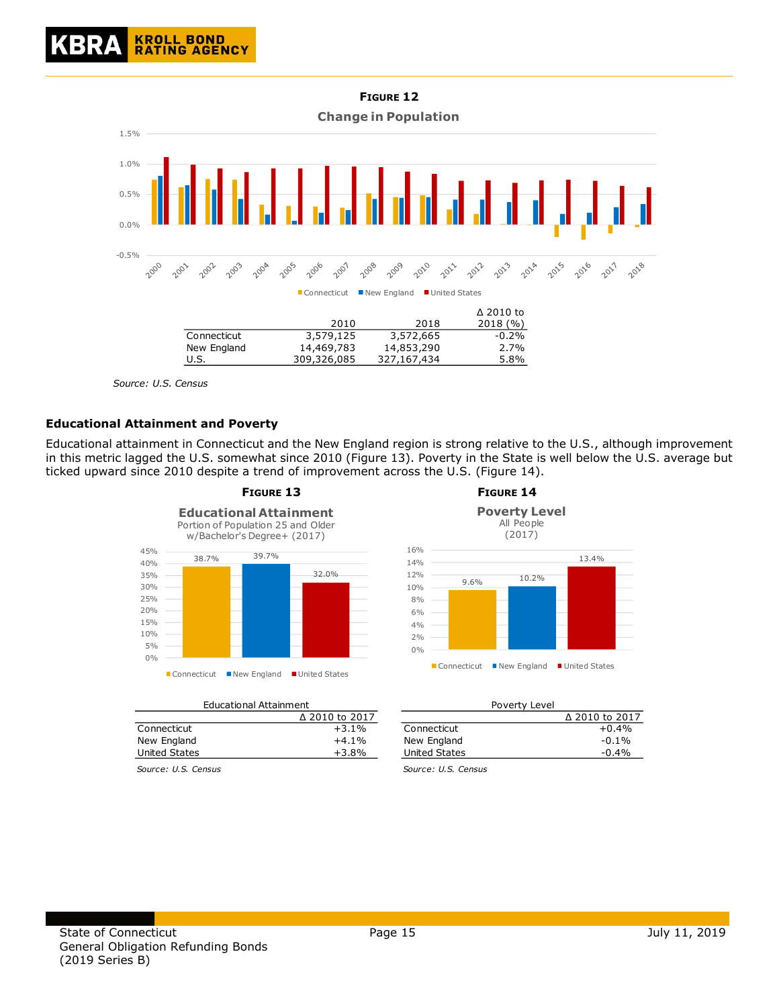

*Source: U.S. Census*

## **Educational Attainment and Poverty**

Educational attainment in Connecticut and the New England region is strong relative to the U.S., although improvement in this metric lagged the U.S. somewhat since 2010 (Figure 13). Poverty in the State is well below the U.S. average but ticked upward since 2010 despite a trend of improvement across the U.S. (Figure 14).



|               | Luucucionul Acculiniche |               | ו טיעוני בכיכו        |
|---------------|-------------------------|---------------|-----------------------|
|               | Δ 2010 to 2017          |               | $\Delta$ 2010 to 2017 |
| Connecticut   | $+3.1%$                 | Connecticut   | $+0.4%$               |
| New England   | $+4.1%$                 | New England   | $-0.1%$               |
| United States | $+3.8%$                 | United States | $-0.4%$               |
|               |                         |               |                       |

Educational Attainment



| nt             |               | Poverty Level |                |
|----------------|---------------|---------------|----------------|
| ∆ 2010 to 2017 |               |               | ∆ 2010 to 2017 |
| $+3.1%$        | Connecticut   |               | $+0.4%$        |
| $+4.1%$        | New England   |               | $-0.1\%$       |
| $+3.8%$        | United States |               | $-0.4%$        |

*Source: U.S. Census Source: U.S. Census*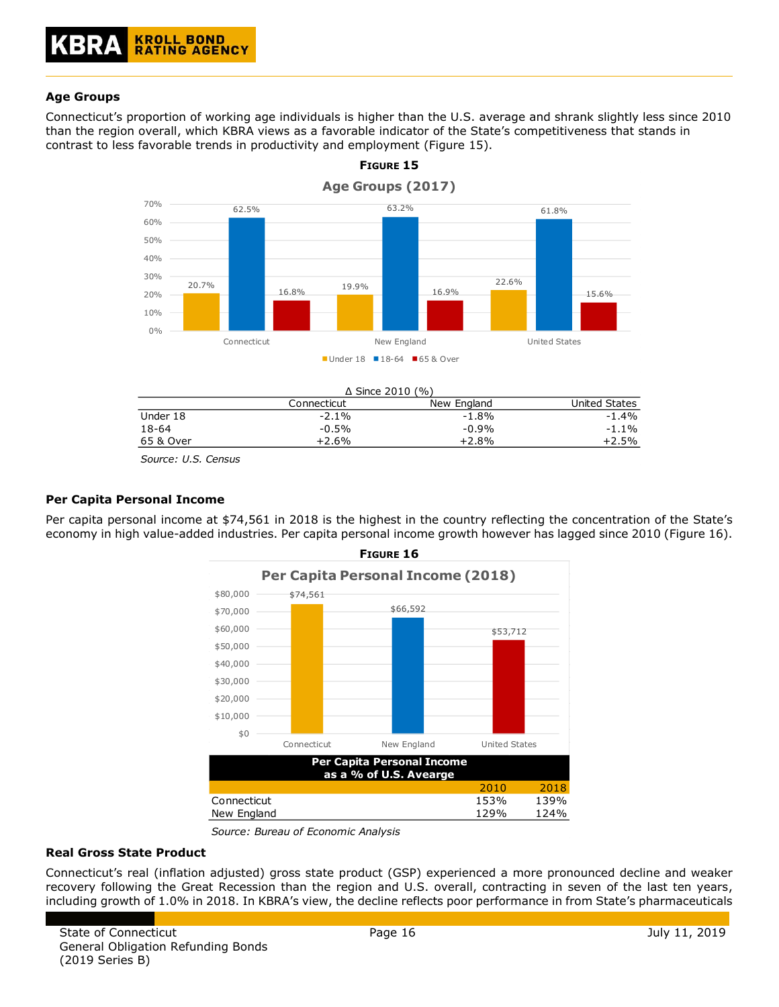## **Age Groups**

Connecticut's proportion of working age individuals is higher than the U.S. average and shrank slightly less since 2010 than the region overall, which KBRA views as a favorable indicator of the State's competitiveness that stands in contrast to less favorable trends in productivity and employment (Figure 15).

**FIGURE 15**



|           |             | $\Delta$ Since 2010 (%) |               |
|-----------|-------------|-------------------------|---------------|
|           | Connecticut | New England             | United States |
| Under 18  | $-2.1\%$    | $-1.8%$                 | $-1.4%$       |
| 18-64     | $-0.5%$     | $-0.9%$                 | $-1.1%$       |
| 65 & Over | $+2.6%$     | $+2.8%$                 | $+2.5%$       |
|           |             |                         |               |

*Source: U.S. Census*

## **Per Capita Personal Income**

Per capita personal income at \$74,561 in 2018 is the highest in the country reflecting the concentration of the State's economy in high value-added industries. Per capita personal income growth however has lagged since 2010 (Figure 16).



*Source: Bureau of Economic Analysis*

#### **Real Gross State Product**

Connecticut's real (inflation adjusted) gross state product (GSP) experienced a more pronounced decline and weaker recovery following the Great Recession than the region and U.S. overall, contracting in seven of the last ten years, including growth of 1.0% in 2018. In KBRA's view, the decline reflects poor performance in from State's pharmaceuticals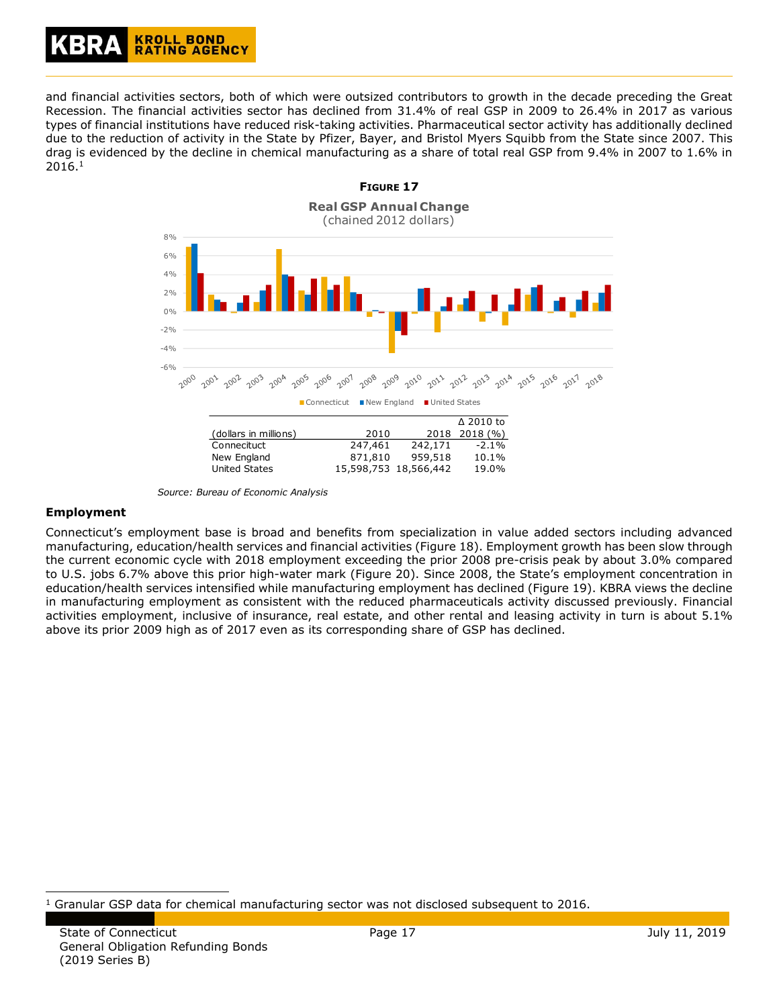## **KROLL BOND RATING AGENCY**

and financial activities sectors, both of which were outsized contributors to growth in the decade preceding the Great Recession. The financial activities sector has declined from 31.4% of real GSP in 2009 to 26.4% in 2017 as various types of financial institutions have reduced risk-taking activities. Pharmaceutical sector activity has additionally declined due to the reduction of activity in the State by Pfizer, Bayer, and Bristol Myers Squibb from the State since 2007. This drag is evidenced by the decline in chemical manufacturing as a share of total real GSP from 9.4% in 2007 to 1.6% in 2016.<sup>1</sup>



*Source: Bureau of Economic Analysis*

#### **Employment**

ł

Connecticut's employment base is broad and benefits from specialization in value added sectors including advanced manufacturing, education/health services and financial activities (Figure 18). Employment growth has been slow through the current economic cycle with 2018 employment exceeding the prior 2008 pre-crisis peak by about 3.0% compared to U.S. jobs 6.7% above this prior high-water mark (Figure 20). Since 2008, the State's employment concentration in education/health services intensified while manufacturing employment has declined (Figure 19). KBRA views the decline in manufacturing employment as consistent with the reduced pharmaceuticals activity discussed previously. Financial activities employment, inclusive of insurance, real estate, and other rental and leasing activity in turn is about 5.1% above its prior 2009 high as of 2017 even as its corresponding share of GSP has declined.

 $<sup>1</sup>$  Granular GSP data for chemical manufacturing sector was not disclosed subsequent to 2016.</sup>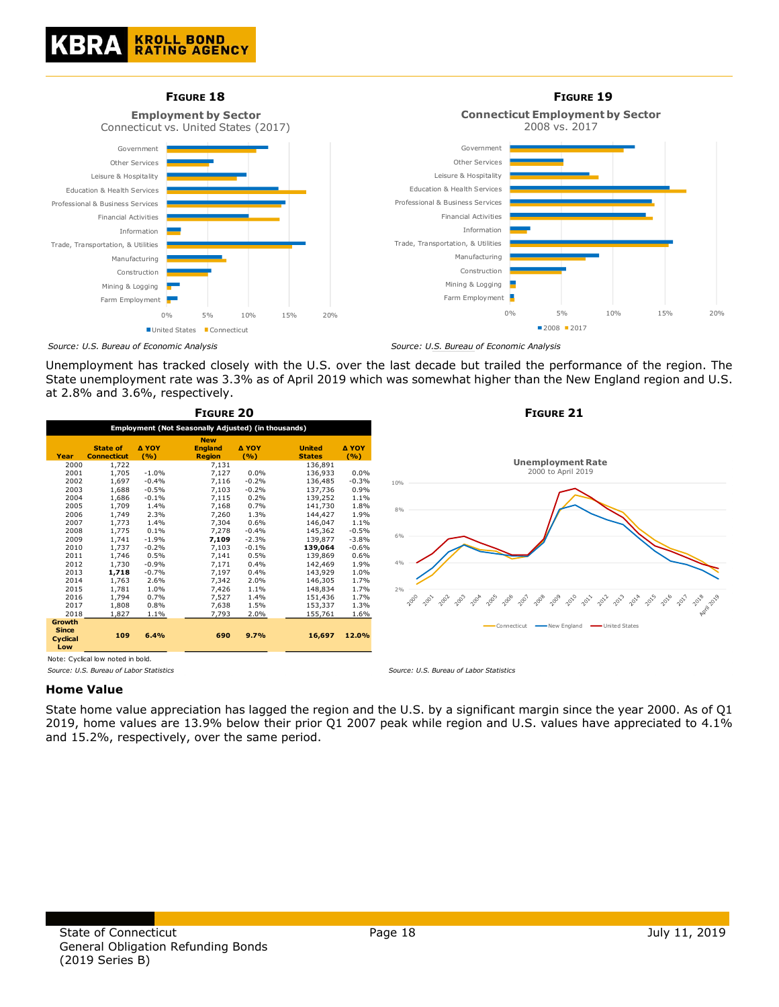



Unemployment has tracked closely with the U.S. over the last decade but trailed the performance of the region. The State unemployment rate was 3.3% as of April 2019 which was somewhat higher than the New England region and U.S. at 2.8% and 3.6%, respectively.

|                                                  |                                                     |                     | FIGURE 20                                     |                |                                |              |
|--------------------------------------------------|-----------------------------------------------------|---------------------|-----------------------------------------------|----------------|--------------------------------|--------------|
|                                                  | Employment (Not Seasonally Adjusted) (in thousands) |                     |                                               |                |                                |              |
| Year                                             | <b>State of</b><br><b>Connecticut</b>               | <b>A YOY</b><br>(%) | <b>New</b><br><b>England</b><br><b>Region</b> | Δ ΥΟΥ<br>(9/6) | <b>United</b><br><b>States</b> | Δ ΥΟΥ<br>(%) |
| 2000                                             | 1,722                                               |                     | 7,131                                         |                | 136,891                        |              |
| 2001                                             | 1,705                                               | $-1.0%$             | 7,127                                         | 0.0%           | 136.933                        | 0.0%         |
| 2002                                             | 1.697                                               | $-0.4%$             | 7,116                                         | $-0.2%$        | 136.485                        | $-0.3%$      |
| 2003                                             | 1,688                                               | $-0.5%$             | 7,103                                         | $-0.2%$        | 137,736                        | 0.9%         |
| 2004                                             | 1,686                                               | $-0.1%$             | 7,115                                         | 0.2%           | 139,252                        | 1.1%         |
| 2005                                             | 1,709                                               | 1.4%                | 7,168                                         | 0.7%           | 141,730                        | 1.8%         |
| 2006                                             | 1.749                                               | 2.3%                | 7.260                                         | 1.3%           | 144,427                        | 1.9%         |
| 2007                                             | 1,773                                               | 1.4%                | 7,304                                         | 0.6%           | 146,047                        | 1.1%         |
| 2008                                             | 1,775                                               | 0.1%                | 7,278                                         | $-0.4%$        | 145.362                        | $-0.5%$      |
| 2009                                             | 1.741                                               | $-1.9%$             | 7,109                                         | $-2.3%$        | 139.877                        | $-3.8%$      |
| 2010                                             | 1,737                                               | $-0.2%$             | 7,103                                         | $-0.1%$        | 139,064                        | $-0.6%$      |
| 2011                                             | 1,746                                               | 0.5%                | 7,141                                         | 0.5%           | 139,869                        | 0.6%         |
| 2012                                             | 1.730                                               | $-0.9%$             | 7,171                                         | 0.4%           | 142,469                        | 1.9%         |
| 2013                                             | 1,718                                               | $-0.7%$             | 7,197                                         | 0.4%           | 143,929                        | 1.0%         |
| 2014                                             | 1,763                                               | 2.6%                | 7,342                                         | 2.0%           | 146,305                        | 1.7%         |
| 2015                                             | 1,781                                               | 1.0%                | 7,426                                         | 1.1%           | 148,834                        | 1.7%         |
| 2016                                             | 1,794                                               | 0.7%                | 7,527                                         | 1.4%           | 151,436                        | 1.7%         |
| 2017                                             | 1.808                                               | 0.8%                | 7,638                                         | 1.5%           | 153,337                        | 1.3%         |
| 2018                                             | 1,827                                               | 1.1%                | 7,793                                         | 2.0%           | 155,761                        | 1.6%         |
| <b>Growth</b><br><b>Since</b><br>Cyclical<br>Low | 109                                                 | 6.4%                | 690                                           | 9.7%           | 16,697                         | 12.0%        |



Note: Cyclical low noted in bold.

#### **Home Value**

State home value appreciation has lagged the region and the U.S. by a significant margin since the year 2000. As of Q1 2019, home values are 13.9% below their prior Q1 2007 peak while region and U.S. values have appreciated to 4.1% and 15.2%, respectively, over the same period.